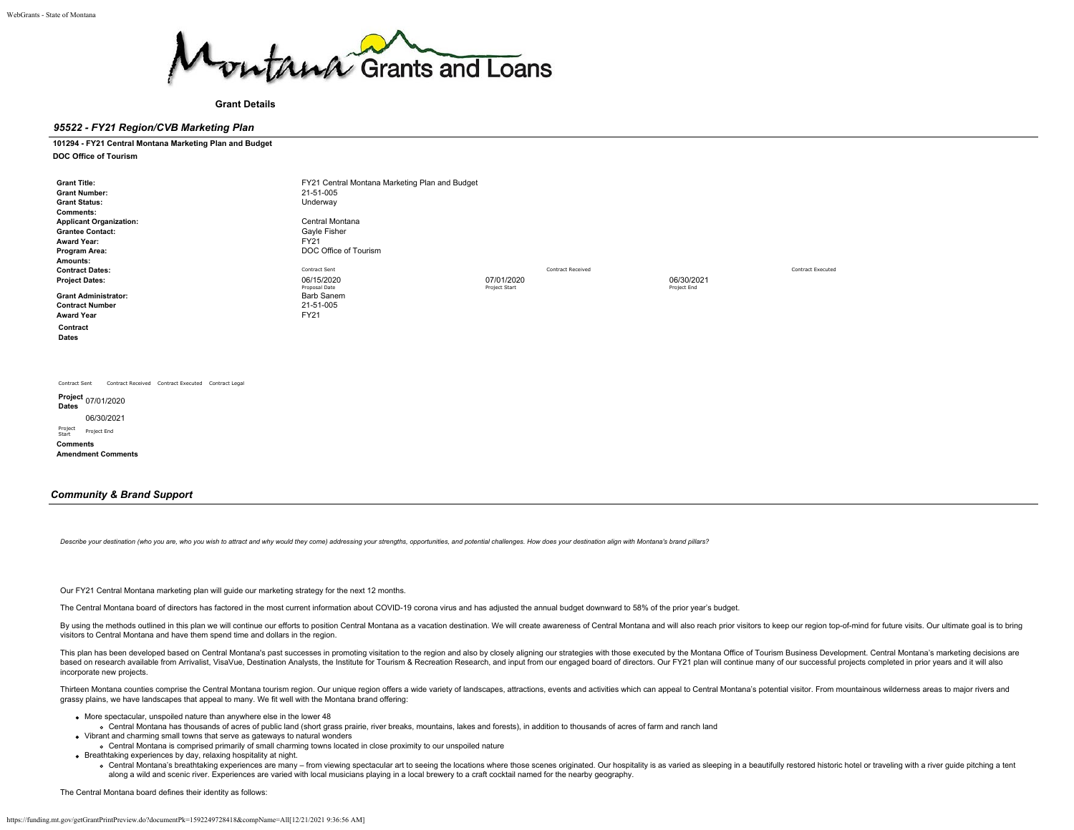

**Grant Details**

#### *95522 - FY21 Region/CVB Marketing Plan*

#### **101294 - FY21 Central Montana Marketing Plan and Budget**

**DOC Office of Tourism**

| <b>Grant Title:</b><br><b>Grant Number:</b><br><b>Grant Status:</b><br>Comments:<br><b>Applicant Organization:</b><br><b>Grantee Contact:</b> | FY21 Central Montana Marketing Plan and Budget<br>21-51-005<br>Underway<br>Central Montana<br>Gayle Fisher |                             |                          |                           |                   |
|-----------------------------------------------------------------------------------------------------------------------------------------------|------------------------------------------------------------------------------------------------------------|-----------------------------|--------------------------|---------------------------|-------------------|
| <b>Award Year:</b>                                                                                                                            | <b>FY21</b>                                                                                                |                             |                          |                           |                   |
| Program Area:<br>Amounts:                                                                                                                     | DOC Office of Tourism                                                                                      |                             |                          |                           |                   |
| <b>Contract Dates:</b>                                                                                                                        | Contract Sent                                                                                              |                             | <b>Contract Received</b> |                           | Contract Executed |
| <b>Project Dates:</b>                                                                                                                         | 06/15/2020<br>Proposal Date                                                                                | 07/01/2020<br>Project Start |                          | 06/30/2021<br>Project End |                   |
| <b>Grant Administrator:</b>                                                                                                                   | <b>Barb Sanem</b>                                                                                          |                             |                          |                           |                   |
| <b>Contract Number</b>                                                                                                                        | 21-51-005                                                                                                  |                             |                          |                           |                   |
| <b>Award Year</b>                                                                                                                             | <b>FY21</b>                                                                                                |                             |                          |                           |                   |
| Contract<br>Dates                                                                                                                             |                                                                                                            |                             |                          |                           |                   |

Contract Sent Contract Received Contract Executed Contract Legal

**Project Dates** 07/01/2020

06/30/2021 Project End

Project

**Comments Amendment Comments**

| <b>Community &amp; Brand Support</b> |  |  |
|--------------------------------------|--|--|
|--------------------------------------|--|--|

Describe your destination (who you are, who you wish to attract and why would they come) addressing your strengths, opportunities, and potential challenges. How does your destination align with Montana's brand pillars?

Our FY21 Central Montana marketing plan will guide our marketing strategy for the next 12 months.

The Central Montana board of directors has factored in the most current information about COVID-19 corona virus and has adjusted the annual budget downward to 58% of the prior year's budget.

By using the methods outlined in this plan we will continue our efforts to position Central Montana as a yacation destination. We will create awareness of Central Montana and will also reach prior visitors to keep our regi visitors to Central Montana and have them spend time and dollars in the region.

This plan has been developed based on Central Montana's past successes in promoting visitation to the region and also by closely aligning our strategies with those executed by the Montana Office of Tourism Business Develop based on research available from Arrivalist, VisaVue, Destination Analysts, the Institute for Tourism & Recreation Research, and input from our engaged board of directors. Our FY21 plan will continue many of our successful incorporate new projects.

Thirteen Montana counties comprise the Central Montana tourism region. Our unique region offers a wide variety of landscapes, attractions, events and activities which can appeal to Central Montana's potential visitor. From grassy plains, we have landscapes that appeal to many. We fit well with the Montana brand offering:

- More spectacular, unspoiled nature than anywhere else in the lower 48
- Central Montana has thousands of acres of public land (short grass prairie, river breaks, mountains, lakes and forests), in addition to thousands of acres of farm and ranch land
- Vibrant and charming small towns that serve as gateways to natural wonders
- Central Montana is comprised primarily of small charming towns located in close proximity to our unspoiled nature
- Breathtaking experiences by day, relaxing hospitality at night.
	- o Central Montana's breathtaking experiences are many from viewing spectacular art to seeing the locations where those scenes originated. Our hospitality is as varied as sleeping in a beautifully restored historic hotel along a wild and scenic river. Experiences are varied with local musicians playing in a local brewery to a craft cocktail named for the nearby geography.

The Central Montana board defines their identity as follows: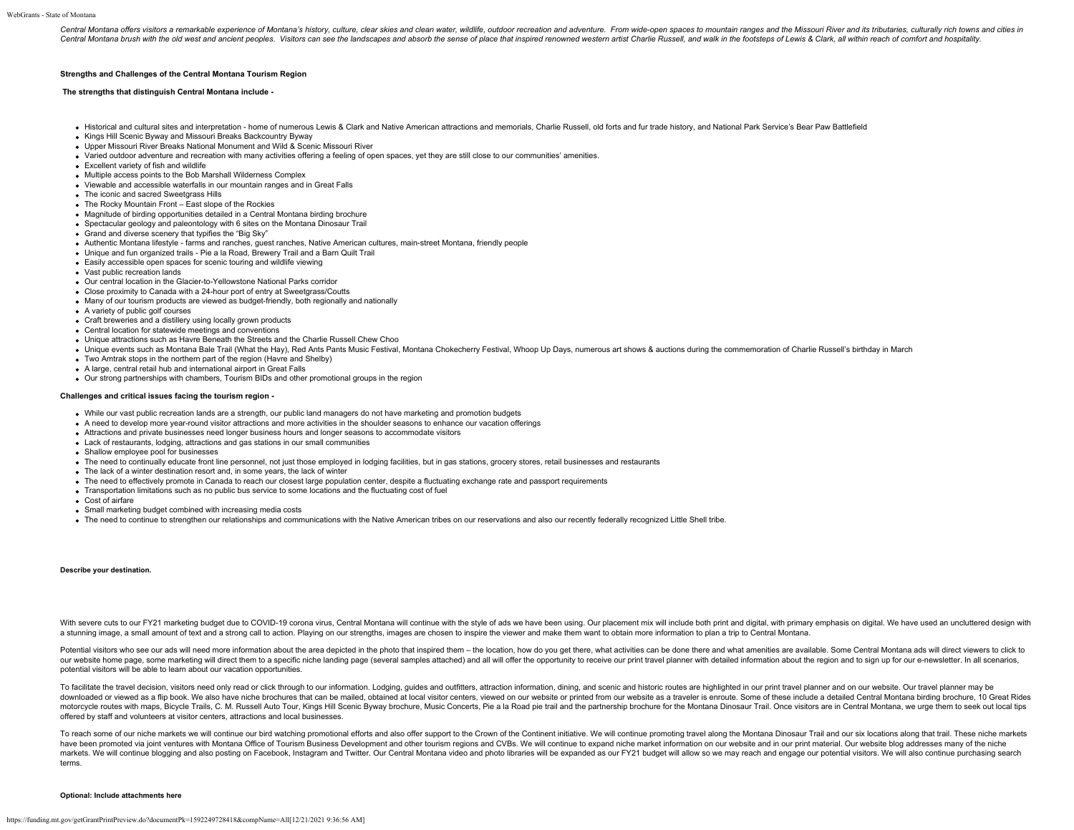Central Montana offers visitors a remarkable experience of Montana's history, culture, clear skies and clean water, wildlife, outdoor recreation and adventure. From wide-open spaces to mountain ranges and the Missouri Rive Central Montana brush with the old west and ancient peoples. Visitors can see the landscapes and absorb the sense of place that inspired renowned western artist Charlie Russell, and walk in the footsteps of Lewis & Clark,

#### **Strengths and Challenges of the Central Montana Tourism Region**

#### **The strengths that distinguish Central Montana include -**

- Historical and cultural sites and interpretation home of numerous Lewis & Clark and Native American attractions and memorials, Charlie Russell, old forts and fur trade history, and National Park Service's Bear Paw Batt
- Kings Hill Scenic Byway and Missouri Breaks Backcountry Byway
- Upper Missouri River Breaks National Monument and Wild & Scenic Missouri River
- Varied outdoor adventure and recreation with many activities offering a feeling of open spaces, yet they are still close to our communities' amenities.
- Excellent variety of fish and wildlife
- Multiple access points to the Bob Marshall Wilderness Complex
- Viewable and accessible waterfalls in our mountain ranges and in Great Falls
- The iconic and sacred Sweetgrass Hills
- The Rocky Mountain Front East slope of the Rockies
- Magnitude of birding opportunities detailed in a Central Montana birding brochure
- Spectacular geology and paleontology with 6 sites on the Montana Dinosaur Trail
- Grand and diverse scenery that typifies the "Big Sky"
- Authentic Montana lifestyle farms and ranches, guest ranches, Native American cultures, main-street Montana, friendly people
- Unique and fun organized trails Pie a la Road, Brewery Trail and a Barn Quilt Trail
- Easily accessible open spaces for scenic touring and wildlife viewing
- Vast public recreation lands
- Our central location in the Glacier-to-Yellowstone National Parks corridor
- Close proximity to Canada with a 24-hour port of entry at Sweetgrass/Coutts
- Many of our tourism products are viewed as budget-friendly, both regionally and nationally
- A variety of public golf courses
- Craft breweries and a distillery using locally grown products
- Central location for statewide meetings and conventions
- Unique attractions such as Havre Beneath the Streets and the Charlie Russell Chew Choo
- . Unique events such as Montana Bale Trail (What the Hay), Red Ants Pants Music Festival, Montana Chokecherry Festival, Whoop Up Days, numerous art shows & auctions during the commemoration of Charlie Russell's birthday in
- Two Amtrak stops in the northern part of the region (Havre and Shelby)
- A large, central retail hub and international airport in Great Falls
- Our strong partnerships with chambers, Tourism BIDs and other promotional groups in the region

#### **Challenges and critical issues facing the tourism region -**

- While our vast public recreation lands are a strength, our public land managers do not have marketing and promotion budgets
- A need to develop more year-round visitor attractions and more activities in the shoulder seasons to enhance our vacation offerings
- Attractions and private businesses need longer business hours and longer seasons to accommodate visitors
- Lack of restaurants, lodging, attractions and gas stations in our small communities
- Shallow employee pool for businesses
- The need to continually educate front line personnel, not just those employed in lodging facilities, but in gas stations, grocery stores, retail businesses and restaurants
- The lack of a winter destination resort and, in some years, the lack of winter
- The need to effectively promote in Canada to reach our closest large population center, despite a fluctuating exchange rate and passport requirements
- Transportation limitations such as no public bus service to some locations and the fluctuating cost of fuel
- Cost of airfare
- Small marketing budget combined with increasing media costs
- The need to continue to strengthen our relationships and communications with the Native American tribes on our reservations and also our recently federally recognized Little Shell tribe.

### **Describe your destination.**

With severe cuts to our FY21 marketing budget due to COVID-19 corona virus, Central Montana will continue with the style of ads we have been using. Our placement mix will include both print and digital, with primary emphas a stunning image, a small amount of text and a strong call to action. Playing on our strengths, images are chosen to inspire the viewer and make them want to obtain more information to plan a trip to Central Montana.

Potential visitors who see our ads will need more information about the area depicted in the photo that inspired them - the location, how do you get there, what activities can be done there and what amenities are available our website home page, some marketing will direct them to a specific niche landing page (several samples attached) and all will offer the opportunity to receive our print travel planner with detailed information about the potential visitors will be able to learn about our vacation opportunities.

To facilitate the travel decision, visitors need only read or click through to our information. Lodging, guides and outfitters, attraction information, dining, and scenic and historic routes are highlighted in our print tr downloaded or viewed as a flip book. We also have niche brochures that can be mailed, obtained at local visitor centers, viewed on our website or printed from our website as a traveler is enroute. Some of these include a d motorcycle routes with maps, Bicycle Trails, C. M. Russell Auto Tour, Kings Hill Scenic Byway brochure, Music Concerts, Pie a la Road pie trail and the partnership brochure for the Montana Dinosaur Trail. Once visitors are offered by staff and volunteers at visitor centers, attractions and local businesses.

To reach some of our niche markets we will continue our bird watching promotional efforts and also offer support to the Crown of the Continent initiative. We will continue promoting travel along the Montana Dinosaur Trail have been promoted via joint ventures with Montana Office of Tourism Business Development and other tourism regions and CVBs. We will continue to expand niche market information on our website and in our print material. Ou markets. We will continue blogging and also posting on Facebook, Instagram and Twitter. Our Central Montana video and photo libraries will be expanded as our FY21 budget will allow so we may reach and engage our potential terms.

#### **Optional: Include attachments here**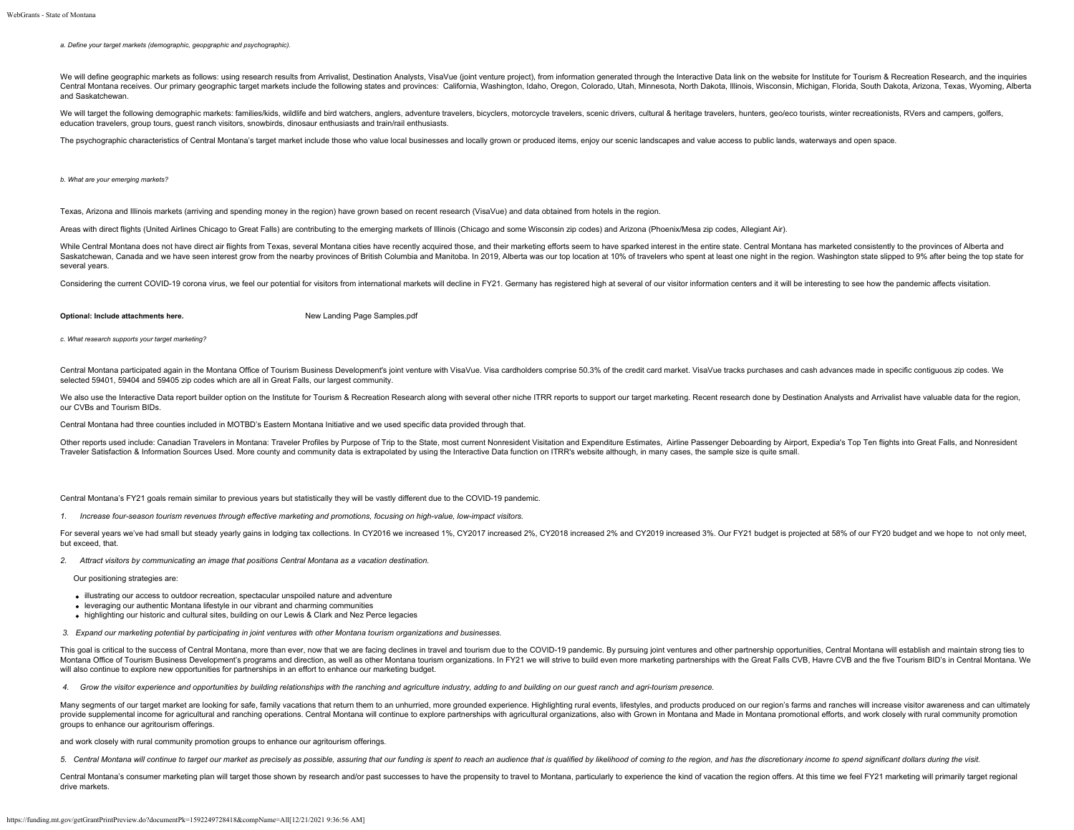*a. Define your target markets (demographic, geopgraphic and psychographic).*

We will define geographic markets as follows: using research results from Arrivalist, Destination Analysts, VisaVue (joint venture project), from information generated through the Interactive Data link on the website for I Central Montana receives. Our primary geographic target markets include the following states and provinces: California, Washington, Idaho, Oregon, Colorado, Utah, Minnesota, North Dakota, Illinois, Wisconsin, Michigan, Flo and Saskatchewan.

We will target the following demographic markets: families/kids, wildlife and bird watchers, anglers, adventure travelers, bicyclers, motorcycle travelers, scenic drivers, cultural & heritage travelers, hunters, goo/eco to education travelers, group tours, guest ranch visitors, snowbirds, dinosaur enthusiasts and train/rail enthusiasts.

The psychographic characteristics of Central Montana's target market include those who value local businesses and locally grown or produced items, enjoy our scenic landscapes and value access to public lands, waterways and

*b. What are your emerging markets?*

Texas, Arizona and Illinois markets (arriving and spending money in the region) have grown based on recent research (VisaVue) and data obtained from hotels in the region

Areas with direct flights (United Airlines Chicago to Great Falls) are contributing to the emerging markets of Illinois (Chicago and some Wisconsin zip codes) and Arizona (Phoenix/Mesa zip codes, Allegiant Air).

While Central Montana does not have direct air flights from Texas, several Montana cities have recently acquired those, and their marketing efforts seem to have sparked interest in the entire state. Central Montana has mar Saskatchewan, Canada and we have seen interest grow from the nearby provinces of British Columbia and Manitoba. In 2019, Alberta was our top location at 10% of travelers who spent at least one night in the region. Washingt several years.

Considering the current COVID-19 corona virus, we feel our potential for visitors from international markets will decline in FY21. Germany has registered high at several of our visitor information centers and it will be in

**Optional: Include attachments here.** [New Landing Page Samples.pdf](https://funding.mt.gov/fileDownload.jsp?filename=1586920687648_New+Landing+Page+Samples.pdf)

*c. What research supports your target marketing?*

Central Montana participated again in the Montana Office of Tourism Business Development's joint venture with VisaVue. Visa cardholders comprise 50.3% of the credit card market. VisaVue tracks purchases and cash advances m selected 59401, 59404 and 59405 zip codes which are all in Great Falls, our largest community.

We also use the Interactive Data report builder option on the Institute for Tourism & Recreation Research along with several other niche ITRR reports to support our target marketing. Recent research done by Destination Ana our CVBs and Tourism BIDs.

Central Montana had three counties included in MOTBD's Eastern Montana Initiative and we used specific data provided through that.

Other reports used include: Canadian Travelers in Montana: Traveler Profiles by Purpose of Trip to the State, most current Nonresident Visitation and Expenditure Estimates, Airline Passenger Deboarding by Airport, Expedia' Traveler Satisfaction & Information Sources Used. More county and community data is extrapolated by using the Interactive Data function on ITRR's website although, in many cases, the sample size is quite small.

Central Montana's FY21 goals remain similar to previous years but statistically they will be vastly different due to the COVID-19 pandemic.

*1. Increase four-season tourism revenues through effective marketing and promotions, focusing on high-value, low-impact visitors.*

For several years we've had small but steady yearly gains in lodging tax collections. In CY2016 we increased 1%, CY2017 increased 2%, CY2018 increased 2% and CY2019 increased 3%. Our FY21 budget is projected at 58% of our but exceed, that.

*2. Attract visitors by communicating an image that positions Central Montana as a vacation destination.*

**Our positioning strategies are:** 

- illustrating our access to outdoor recreation, spectacular unspoiled nature and adventure
- leveraging our authentic Montana lifestyle in our vibrant and charming communities
- highlighting our historic and cultural sites, building on our Lewis & Clark and Nez Perce legacies
- *3. Expand our marketing potential by participating in joint ventures with other Montana tourism organizations and businesses.*

This goal is critical to the success of Central Montana, more than ever, now that we are facing declines in travel and tourism due to the COVID-19 pandemic. By pursuing joint ventures and other partnership opportunities, C Montana Office of Tourism Business Development's programs and direction, as well as other Montana tourism organizations. In FY21 we will strive to build even more marketing partnerships with the Great Falls CVB, Havre CVB will also continue to explore new opportunities for partnerships in an effort to enhance our marketing budget.

*4. Grow the visitor experience and opportunities by building relationships with the ranching and agriculture industry, adding to and building on our guest ranch and agri-tourism presence.*

Many segments of our target market are looking for safe, family vacations that return them to an unhurried, more grounded experience. Highlighting rural events, lifestyles, and products produced on our region's farms and r provide supplemental income for agricultural and ranching operations. Central Montana will continue to explore partnerships with agricultural organizations, also with Grown in Montana and Made in Montana promotional effort groups to enhance our agritourism offerings.

and work closely with rural community promotion groups to enhance our agritourism offerings.

5. Central Montana will continue to target our market as precisely as possible, assuring that our funding is spent to reach an audience that is qualified by likelihood of coming to the region, and has the discretionary inc

Central Montana's consumer marketing plan will target those shown by research and/or past successes to have the propensity to travel to Montana, particularly to experience the kind of vacation the region offers. At this ti drive markets.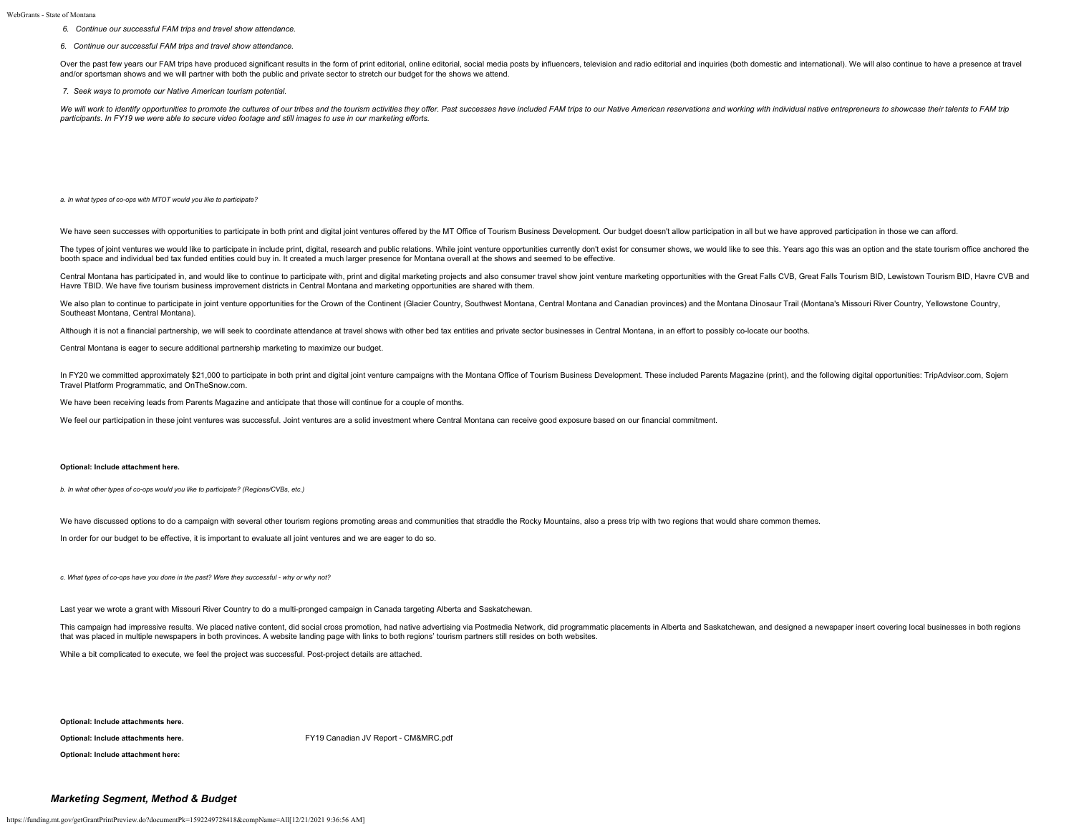*6. Continue our successful FAM trips and travel show attendance.*

*6. Continue our successful FAM trips and travel show attendance.*

Over the past few years our FAM trips have produced significant results in the form of print editorial, online editorial, social media posts by influencers, television and radio editorial and inquiries (both domestic and i and/or sportsman shows and we will partner with both the public and private sector to stretch our budget for the shows we attend.

#### *7. Seek ways to promote our Native American tourism potential.*

We will work to identify opportunities to promote the cultures of our tribes and the tourism activities they offer. Past successes have included FAM trips to our Native American reservations and working with individual nat *participants. In FY19 we were able to secure video footage and still images to use in our marketing efforts.*

*a. In what types of co-ops with MTOT would you like to participate?*

We have seen successes with opportunities to participate in both print and digital joint ventures offered by the MT Office of Tourism Business Development. Our budget doesn't allow participation in all but we have approved

The types of ioint ventures we would like to participate in include print, digital, research and public relations. While ioint venture opportunities currently don't exist for consumer shows, we would like to see this. Year booth space and individual bed tax funded entities could buy in. It created a much larger presence for Montana overall at the shows and seemed to be effective.

Central Montana has participated in, and would like to continue to participate with, print and digital marketing projects and also consumer travel show joint venture marketing opportunities with the Great Falls CVB, Great Havre TBID. We have five tourism business improvement districts in Central Montana and marketing opportunities are shared with them.

We also plan to continue to participate in joint venture opportunities for the Crown of the Continent (Glacier Country, Southwest Montana, Central Montana and Canadian provinces) and the Montana Dinosaur Trail (Montana's M Southeast Montana, Central Montana).

Although it is not a financial partnership, we will seek to coordinate attendance at travel shows with other bed tax entities and private sector businesses in Central Montana, in an effort to possibly co-locate our booths.

Central Montana is eager to secure additional partnership marketing to maximize our budget.

In FY20 we committed approximately \$21,000 to participate in both print and digital joint venture campaigns with the Montana Office of Tourism Business Development. These included Parents Magazine (print), and the followin Travel Platform Programmatic, and OnTheSnow.com.

We have been receiving leads from Parents Magazine and anticipate that those will continue for a couple of months.

We feel our participation in these joint ventures was successful. Joint ventures are a solid investment where Central Montana can receive good exposure based on our financial commitment

### **Optional: Include attachment here.**

*b. In what other types of co-ops would you like to participate? (Regions/CVBs, etc.)*

We have discussed options to do a campaign with several other tourism regions promoting areas and communities that straddle the Rocky Mountains, also a press trip with two regions that would share common themes.

In order for our budget to be effective, it is important to evaluate all joint ventures and we are eager to do so.

*c. What types of co-ops have you done in the past? Were they successful - why or why not?*

Last year we wrote a grant with Missouri River Country to do a multi-pronged campaign in Canada targeting Alberta and Saskatchewan.

This campaign had impressive results. We placed native content, did social cross promotion, had native advertising via Postmedia Network, did programmatic placements in Alberta and Saskatchewan, and designed a newspaper in that was placed in multiple newspapers in both provinces. A website landing page with links to both regions' tourism partners still resides on both websites.

While a bit complicated to execute, we feel the project was successful. Post-project details are attached.

**Optional: Include attachments here.**

**Optional: Include attachment here:**

**Optional: Include attachments here.** [FY19 Canadian JV Report - CM&MRC.pdf](https://funding.mt.gov/fileDownload.jsp?filename=1587000379001_FY19+Canadian+JV+Report+-+CM%26MRC.pdf)

## *Marketing Segment, Method & Budget*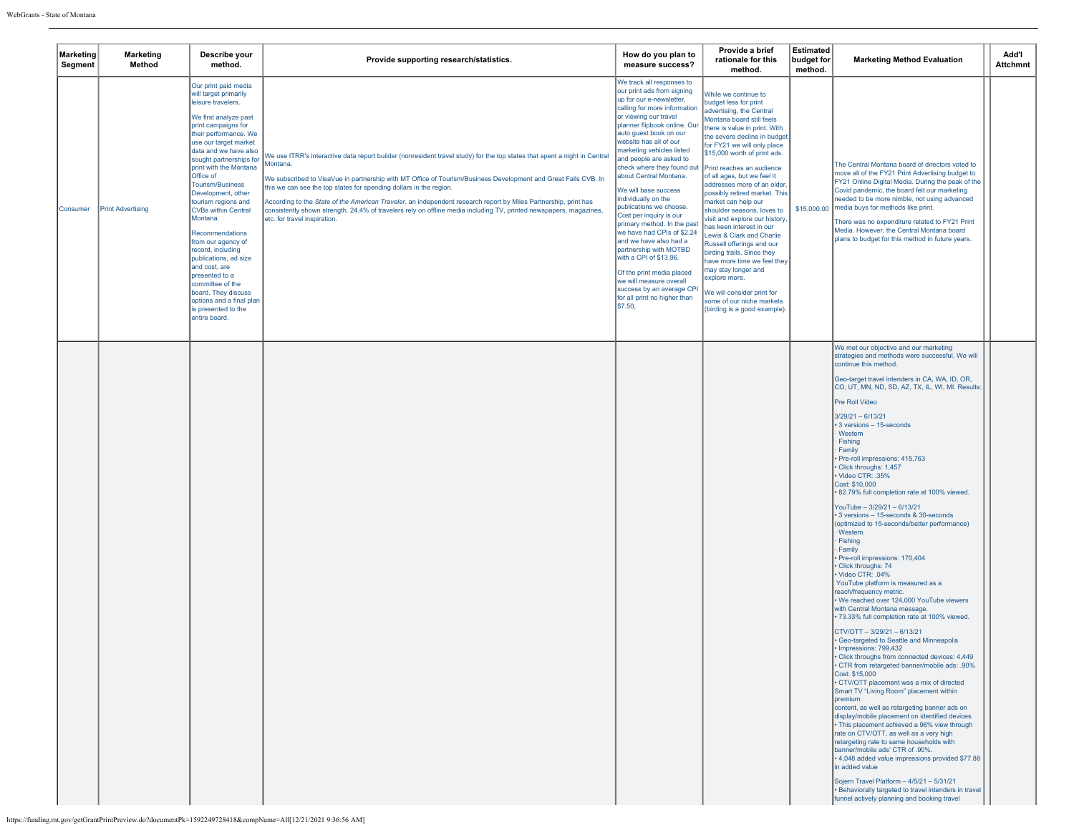| <b>Marketing</b><br>Segment | <b>Marketing</b><br>Method | Describe your<br>method.                                                                                                                                                                                                                                                                                                                                                                                                                                                                                                                                                                                                    | Provide supporting research/statistics.                                                                                                                                                                                                                                                                                                                                                                                                                                                                                                                                                                | How do you plan to<br>measure success?                                                                                                                                                                                                                                                                                                                                                                                                                                                                                                                                                                                                                                                             | Provide a brief<br>rationale for this<br>method.                                                                                                                                                                                                                                                                                                                                                                                                                                                                                                                                                                                                                                                                                                                          | <b>Estimated</b><br>budget for<br>method. | <b>Marketing Method Evaluation</b>                                                                                                                                                                                                                                                                                                                                                                                                                                                                                                                                                                                                                                                                                                                                                                                                                                                                                                                                                                                                                                                                                                                                                                                                                                                                                                                                                                                                                                                                                                                                                                                                                                                                                                                          | Add'l<br><b>Attchmnt</b> |
|-----------------------------|----------------------------|-----------------------------------------------------------------------------------------------------------------------------------------------------------------------------------------------------------------------------------------------------------------------------------------------------------------------------------------------------------------------------------------------------------------------------------------------------------------------------------------------------------------------------------------------------------------------------------------------------------------------------|--------------------------------------------------------------------------------------------------------------------------------------------------------------------------------------------------------------------------------------------------------------------------------------------------------------------------------------------------------------------------------------------------------------------------------------------------------------------------------------------------------------------------------------------------------------------------------------------------------|----------------------------------------------------------------------------------------------------------------------------------------------------------------------------------------------------------------------------------------------------------------------------------------------------------------------------------------------------------------------------------------------------------------------------------------------------------------------------------------------------------------------------------------------------------------------------------------------------------------------------------------------------------------------------------------------------|---------------------------------------------------------------------------------------------------------------------------------------------------------------------------------------------------------------------------------------------------------------------------------------------------------------------------------------------------------------------------------------------------------------------------------------------------------------------------------------------------------------------------------------------------------------------------------------------------------------------------------------------------------------------------------------------------------------------------------------------------------------------------|-------------------------------------------|-------------------------------------------------------------------------------------------------------------------------------------------------------------------------------------------------------------------------------------------------------------------------------------------------------------------------------------------------------------------------------------------------------------------------------------------------------------------------------------------------------------------------------------------------------------------------------------------------------------------------------------------------------------------------------------------------------------------------------------------------------------------------------------------------------------------------------------------------------------------------------------------------------------------------------------------------------------------------------------------------------------------------------------------------------------------------------------------------------------------------------------------------------------------------------------------------------------------------------------------------------------------------------------------------------------------------------------------------------------------------------------------------------------------------------------------------------------------------------------------------------------------------------------------------------------------------------------------------------------------------------------------------------------------------------------------------------------------------------------------------------------|--------------------------|
| Consumer                    | <b>Print Advertising</b>   | Our print paid media<br>will target primarily<br>leisure travelers.<br>We first analyze past<br>print campaigns for<br>their performance. We<br>use our target market<br>data and we have also<br>sought partnerships for<br>print with the Montana<br>Office of<br><b>Tourism/Business</b><br>Development, other<br>tourism regions and<br><b>CVBs within Central</b><br>Montana.<br>Recommendations<br>from our agency of<br>record, including<br>publications, ad size<br>and cost, are<br>presented to a<br>committee of the<br>board. They discuss<br>options and a final plan<br>is presented to the<br>entire board. | We use ITRR's interactive data report builder (nonresident travel study) for the top states that spent a night in Central<br>Montana.<br>We subscribed to VisaVue in partnership with MT Office of Tourism/Business Development and Great Falls CVB. In<br>this we can see the top states for spending dollars in the region.<br>According to the State of the American Traveler, an independent research report by Miles Partnership, print has<br>consistently shown strength. 24.4% of travelers rely on offline media including TV, printed newspapers, magazines,<br>etc. for travel inspiration. | We track all responses to<br>our print ads from signing<br>up for our e-newsletter,<br>calling for more information<br>or viewing our travel<br>planner flipbook online. Our<br>auto guest book on our<br>website has all of our<br>marketing vehicles listed<br>and people are asked to<br>about Central Montana.<br>We will base success<br>individually on the<br>publications we choose.<br>Cost per inquiry is our<br>primary method. In the past<br>we have had CPIs of \$2.24<br>and we have also had a<br>partnership with MOTBD<br>with a CPI of \$13.96.<br>Of the print media placed<br>we will measure overall<br>success by an average CPI<br>for all print no higher than<br>\$7.50, | While we continue to<br>budget less for print<br>advertising, the Central<br>Montana board still feels<br>there is value in print. With<br>the severe decline in budget<br>for FY21 we will only place<br>\$15,000 worth of print ads.<br>check where they found out Print reaches an audience<br>of all ages, but we feel it<br>addresses more of an older,<br>possibly retired market. This<br>market can help our<br>shoulder seasons, loves to<br>visit and explore our history,<br>has keen interest in our<br>Lewis & Clark and Charlie<br>Russell offerings and our<br>birding trails. Since they<br>have more time we feel they<br>may stay longer and<br>explore more.<br>We will consider print for<br>some of our niche markets<br>(birding is a good example) |                                           | The Central Montana board of directors voted to<br>move all of the FY21 Print Advertising budget to<br>FY21 Online Digital Media. During the peak of the<br>Covid pandemic, the board felt our marketing<br>needed to be more nimble, not using advanced<br>\$15,000.00 media buys for methods like print.<br>There was no expenditure related to FY21 Print<br>Media. However, the Central Montana board<br>plans to budget for this method in future years.                                                                                                                                                                                                                                                                                                                                                                                                                                                                                                                                                                                                                                                                                                                                                                                                                                                                                                                                                                                                                                                                                                                                                                                                                                                                                               |                          |
|                             |                            |                                                                                                                                                                                                                                                                                                                                                                                                                                                                                                                                                                                                                             |                                                                                                                                                                                                                                                                                                                                                                                                                                                                                                                                                                                                        |                                                                                                                                                                                                                                                                                                                                                                                                                                                                                                                                                                                                                                                                                                    |                                                                                                                                                                                                                                                                                                                                                                                                                                                                                                                                                                                                                                                                                                                                                                           |                                           | We met our objective and our marketing<br>strategies and methods were successful. We will<br>continue this method.<br>Geo-target travel intenders in CA, WA, ID, OR,<br>CO, UT, MN, ND, SD, AZ, TX, IL, WI, MI. Results:<br>Pre Roll Video<br>$3/29/21 - 6/13/21$<br>• 3 versions - 15-seconds<br>Western<br>Fishing<br>Family<br>Pre-roll impressions: 415,763<br>Click throughs: 1,457<br>· Video CTR: .35%<br>Cost: \$10,000<br>. 82.79% full completion rate at 100% viewed.<br>YouTube - 3/29/21 - 6/13/21<br>• 3 versions - 15-seconds & 30-seconds<br>(optimized to 15-seconds/better performance)<br>Western<br>Fishing<br>Family<br>Pre-roll impressions: 170,404<br>Click throughs: 74<br>· Video CTR: .04%<br>YouTube platform is measured as a<br>reach/frequency metric.<br>• We reached over 124,000 YouTube viewers<br>with Central Montana message.<br>· 73.33% full completion rate at 100% viewed.<br>CTV/OTT - 3/29/21 - 6/13/21<br>. Geo-targeted to Seattle and Minneapolis<br>• Impressions: 799.432<br>· Click throughs from connected devices: 4,449<br>. CTR from retargeted banner/mobile ads: .90%<br>Cost: \$15,000<br>• CTV/OTT placement was a mix of directed<br>Smart TV "Living Room" placement within<br>premium<br>content, as well as retargeting banner ads on<br>display/mobile placement on identified devices.<br>. This placement achieved a 96% view through<br>rate on CTV/OTT, as well as a very high<br>retargeting rate to same households with<br>banner/mobile ads' CTR of .90%.<br>• 4,048 added value impressions provided \$77.88<br>in added value<br>Sojern Travel Platform - 4/5/21 - 5/31/21<br>. Behaviorally targeted to travel intenders in travel<br>funnel actively planning and booking travel |                          |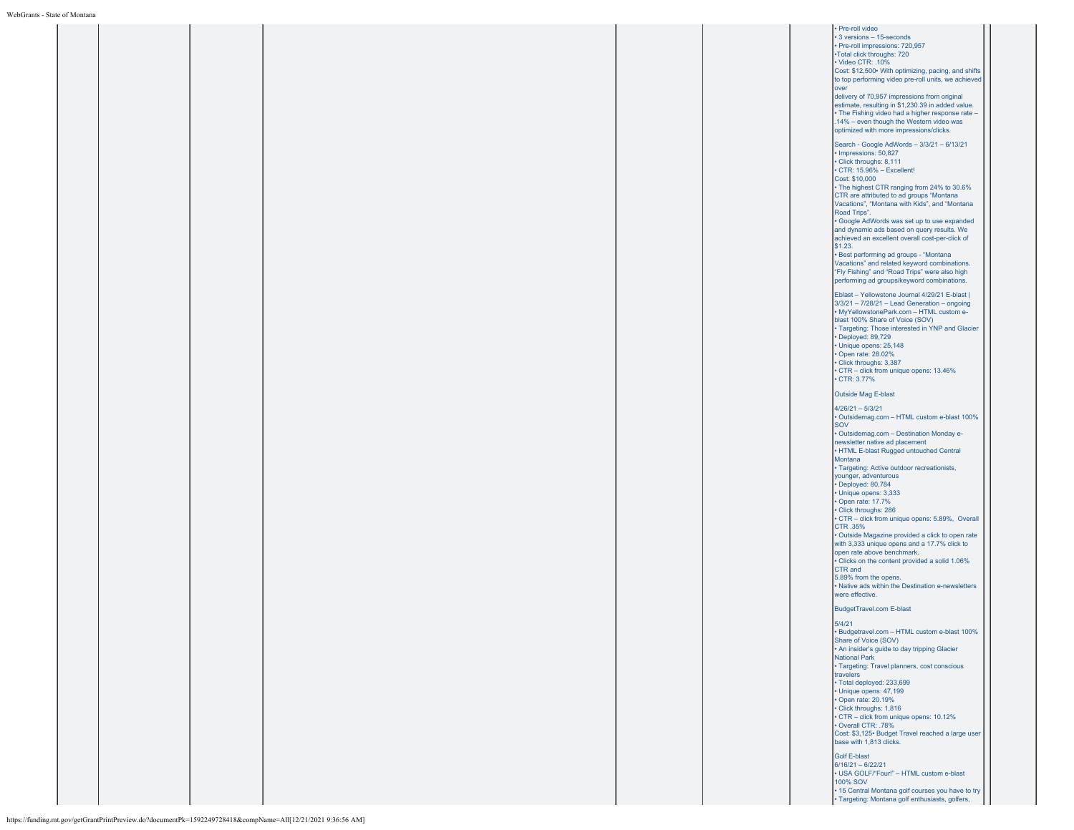| WebGrants - State of Montana |  |  |                                                                                                                                                                                                                                                                                                                                                                                                                                                                                                                                                                                               |  |
|------------------------------|--|--|-----------------------------------------------------------------------------------------------------------------------------------------------------------------------------------------------------------------------------------------------------------------------------------------------------------------------------------------------------------------------------------------------------------------------------------------------------------------------------------------------------------------------------------------------------------------------------------------------|--|
|                              |  |  | • Pre-roll video<br>• 3 versions - 15-seconds<br>· Pre-roll impressions: 720,957<br>•Total click throughs: 720<br>• Video CTR: .10%<br>Cost: \$12,500• With optimizing, pacing, and shifts<br>to top performing video pre-roll units, we achieved<br>over<br>delivery of 70,957 impressions from original<br>estimate, resulting in \$1,230.39 in added value.<br>• The Fishing video had a higher response rate -<br>.14% - even though the Western video was<br>optimized with more impressions/clicks.<br>Search - Google AdWords - 3/3/21 - 6/13/21<br>· Impressions: 50,827              |  |
|                              |  |  | • Click throughs: 8,111<br>$\cdot$ CTR: 15.96% - Excellent!<br>Cost: \$10,000<br>• The highest CTR ranging from 24% to 30.6%<br>CTR are attributed to ad groups "Montana<br>Vacations", "Montana with Kids", and "Montana<br>Road Trips".<br>· Google AdWords was set up to use expanded<br>and dynamic ads based on query results. We<br>achieved an excellent overall cost-per-click of<br>\$1.23.<br>• Best performing ad groups - "Montana<br>Vacations" and related keyword combinations.<br>"Fly Fishing" and "Road Trips" were also high<br>performing ad groups/keyword combinations. |  |
|                              |  |  | Eblast - Yellowstone Journal 4/29/21 E-blast  <br>$3/3/21 - 7/28/21 -$ Lead Generation - ongoing<br>. MyYellowstonePark.com - HTML custom e-<br>blast 100% Share of Voice (SOV)<br>· Targeting: Those interested in YNP and Glacier<br>• Deployed: 89,729<br>• Unique opens: 25,148<br>• Open rate: 28.02%<br>• Click throughs: 3,387<br>• CTR - click from unique opens: 13.46%<br>• CTR: 3.77%                                                                                                                                                                                              |  |
|                              |  |  | <b>Outside Mag E-blast</b><br>$4/26/21 - 5/3/21$<br>· Outsidemag.com - HTML custom e-blast 100%<br>SOV<br>· Outsidemag.com - Destination Monday e-<br>newsletter native ad placement<br>• HTML E-blast Rugged untouched Central<br>Montana<br>· Targeting: Active outdoor recreationists,<br>younger, adventurous<br>· Deployed: 80,784<br>• Unique opens: 3,333<br>• Open rate: 17.7%<br>· Click throughs: 286<br>• CTR - click from unique opens: 5.89%, Overall<br><b>CTR .35%</b><br>· Outside Magazine provided a click to open rate                                                     |  |
|                              |  |  | with 3,333 unique opens and a 17.7% click to<br>open rate above benchmark.<br>• Clicks on the content provided a solid 1.06%<br>CTR and<br>5.89% from the opens.<br>• Native ads within the Destination e-newsletters<br>were effective.<br>BudgetTravel.com E-blast<br>5/4/21<br>· Budgetravel.com - HTML custom e-blast 100%<br>Share of Voice (SOV)<br>. An insider's guide to day tripping Glacier<br><b>National Park</b><br>· Targeting: Travel planners, cost conscious<br>travelers                                                                                                   |  |
|                              |  |  | · Total deployed: 233,699<br>• Unique opens: 47,199<br>• Open rate: 20.19%<br>· Click throughs: 1,816<br>• CTR - click from unique opens: 10.12%<br>• Overall CTR: .78%<br>Cost: \$3,125 · Budget Travel reached a large user<br>base with 1,813 clicks.<br>Golf E-blast<br>$6/16/21 - 6/22/21$<br>• USA GOLF/"Four!" - HTML custom e-blast<br><b>100% SOV</b><br>. 15 Central Montana golf courses you have to try<br>· Targeting: Montana golf enthusiasts, golfers,                                                                                                                        |  |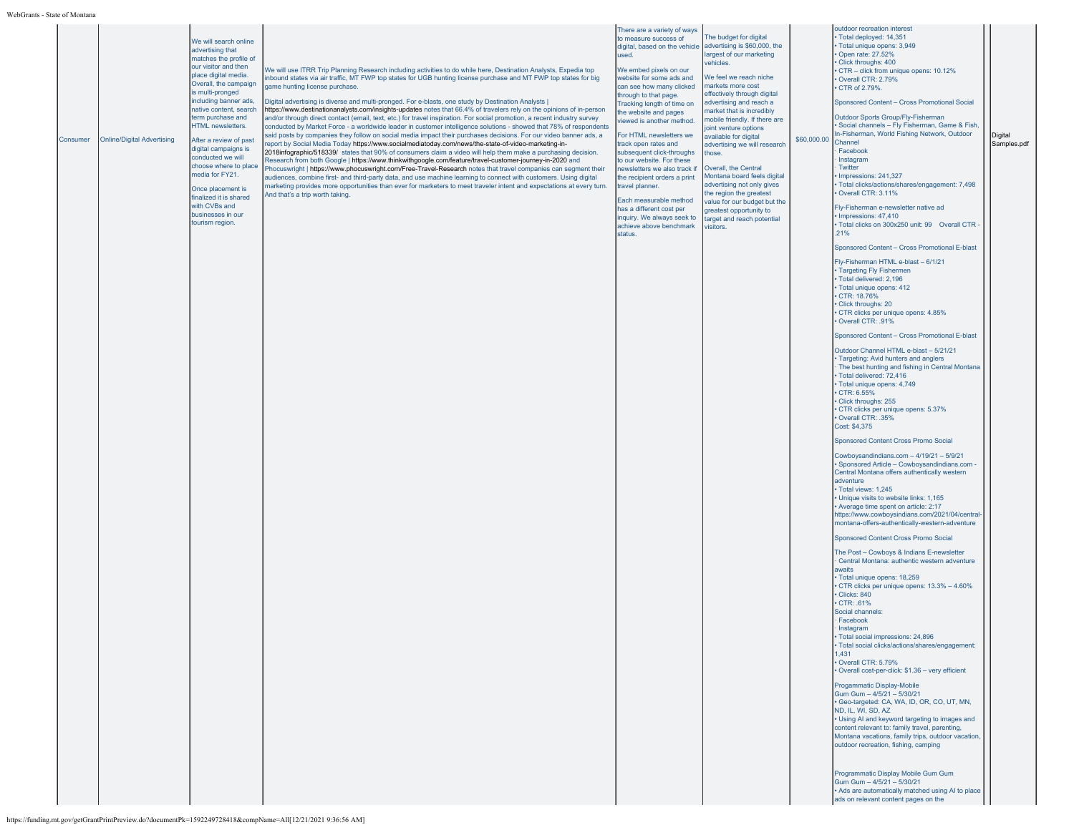| Consumer | <b>Online/Digital Advertising</b> | We will search online<br>advertising that<br>matches the profile of<br>our visitor and then<br>place digital media.<br>Overall, the campaign<br>is multi-pronged<br>including banner ads,<br>native content, search<br>term purchase and<br><b>HTML</b> newsletters.<br>After a review of past<br>digital campaigns is<br>conducted we will<br>choose where to place<br>media for FY21.<br>Once placement is<br>finalized it is shared<br>with CVBs and<br>businesses in our<br>tourism region. | We will use ITRR Trip Planning Research including activities to do while here, Destination Analysts, Expedia top<br>inbound states via air traffic, MT FWP top states for UGB hunting license purchase and MT FWP top states for big<br>game hunting license purchase.<br>Digital advertising is diverse and multi-pronged. For e-blasts, one study by Destination Analysts  <br>https://www.destinationanalysts.com/insights-updates notes that 66.4% of travelers rely on the opinions of in-person<br>and/or through direct contact (email, text, etc.) for travel inspiration. For social promotion, a recent industry survey<br>conducted by Market Force - a worldwide leader in customer intelligence solutions - showed that 78% of respondents<br>said posts by companies they follow on social media impact their purchases decisions. For our video banner ads, a<br>eport by Social Media Today https://www.socialmediatoday.com/news/the-state-of-video-marketing-in-<br>2018infographic/518339/ states that 90% of consumers claim a video will help them make a purchasing decision.<br>Research from both Google   https://www.thinkwithgoogle.com/feature/travel-customer-journey-in-2020 and<br>Phocuswright   https://www.phocuswright.com/Free-Travel-Research notes that travel companies can segment their<br>audiences, combine first- and third-party data, and use machine learning to connect with customers. Using digital<br>marketing provides more opportunities than ever for marketers to meet traveler intent and expectations at every turn.<br>And that's a trip worth taking. | There are a variety of ways<br>to measure success of<br>digital, based on the vehicle<br>used.<br>We embed pixels on our<br>website for some ads and<br>can see how many clicked<br>through to that page.<br>Tracking length of time on<br>the website and pages<br>viewed is another method.<br>For HTML newsletters we<br>track open rates and<br>subsequent click-throughs<br>to our website. For these<br>newsletters we also track if<br>the recipient orders a print<br>travel planner.<br>Each measurable method<br>has a different cost per<br>inquiry. We always seek to<br>achieve above benchmark<br>status. | The budget for digital<br>advertising is \$60,000, the<br>argest of our marketing<br>vehicles<br>We feel we reach niche<br>markets more cost<br>effectively through digital<br>advertising and reach a<br>market that is incredibly<br>mobile friendly. If there are<br>oint venture options<br>available for digital<br>advertising we will research<br>hose.<br>Overall, the Central<br>Montana board feels digital<br>advertising not only gives<br>the region the greatest<br>value for our budget but the<br>greatest opportunity to<br>target and reach potential<br>visitors. | \$60,000.00 | outdoor recreation interest<br>Total deployed: 14,351<br>· Total unique opens: 3,949<br>• Open rate: 27.52%<br>· Click throughs: 400<br>CTR - click from unique opens: 10.12%<br>Overall CTR: 2.79%<br>CTR of 2.79%.<br>Sponsored Content - Cross Promotional Social<br>Outdoor Sports Group/Fly-Fisherman<br>· Social channels - Fly Fisherman, Game & Fish<br>In-Fisherman, World Fishing Network, Outdoor<br>Channel<br>Facebook<br>Instagram<br>Twitter<br>Impressions: 241,327<br>· Total clicks/actions/shares/engagement: 7,498<br>Overall CTR: 3.11%<br>Fly-Fisherman e-newsletter native ad<br>· Impressions: 47,410<br>· Total clicks on 300x250 unit: 99 Overall CTR -<br>.21%<br>Sponsored Content - Cross Promotional E-blast<br>Fly-Fisherman HTML e-blast - 6/1/21<br>• Targeting Fly Fishermen<br>· Total delivered: 2,196<br>· Total unique opens: 412<br>· CTR: 18.76%<br>• Click throughs: 20<br>· CTR clicks per unique opens: 4.85%<br>· Overall CTR: .91%<br>Sponsored Content - Cross Promotional E-blast<br>Outdoor Channel HTML e-blast - 5/21/21<br>• Targeting: Avid hunters and anglers<br>The best hunting and fishing in Central Montana<br>· Total delivered: 72,416<br>· Total unique opens: 4,749<br>CTR: 6.55%<br>• Click throughs: 255<br>· CTR clicks per unique opens: 5.37%<br>· Overall CTR: .35%<br>Cost: \$4,375<br>Sponsored Content Cross Promo Social<br>Cowboysandindians.com - 4/19/21 - 5/9/21<br>· Sponsored Article - Cowboysandindians.com -<br>Central Montana offers authentically western<br>adventure<br>· Total views: 1.245<br>• Unique visits to website links: 1,165<br>• Average time spent on article: 2:17<br>https://www.cowboysindians.com/2021/04/central-<br>montana-offers-authentically-western-adventure<br>Sponsored Content Cross Promo Social<br>The Post - Cowboys & Indians E-newsletter<br>Central Montana: authentic western adventure<br>awaits<br>· Total unique opens: 18,259<br>CTR clicks per unique opens: 13.3% - 4.60%<br>$\cdot$ Clicks: 840<br>$\cdot$ CTR: .61%<br>Social channels:<br>Facebook<br>Instagram | Digital<br>Samples.pdf |
|----------|-----------------------------------|-------------------------------------------------------------------------------------------------------------------------------------------------------------------------------------------------------------------------------------------------------------------------------------------------------------------------------------------------------------------------------------------------------------------------------------------------------------------------------------------------|-------------------------------------------------------------------------------------------------------------------------------------------------------------------------------------------------------------------------------------------------------------------------------------------------------------------------------------------------------------------------------------------------------------------------------------------------------------------------------------------------------------------------------------------------------------------------------------------------------------------------------------------------------------------------------------------------------------------------------------------------------------------------------------------------------------------------------------------------------------------------------------------------------------------------------------------------------------------------------------------------------------------------------------------------------------------------------------------------------------------------------------------------------------------------------------------------------------------------------------------------------------------------------------------------------------------------------------------------------------------------------------------------------------------------------------------------------------------------------------------------------------------------------------------------------------------------------------------------------------------|-------------------------------------------------------------------------------------------------------------------------------------------------------------------------------------------------------------------------------------------------------------------------------------------------------------------------------------------------------------------------------------------------------------------------------------------------------------------------------------------------------------------------------------------------------------------------------------------------------------------------|--------------------------------------------------------------------------------------------------------------------------------------------------------------------------------------------------------------------------------------------------------------------------------------------------------------------------------------------------------------------------------------------------------------------------------------------------------------------------------------------------------------------------------------------------------------------------------------|-------------|----------------------------------------------------------------------------------------------------------------------------------------------------------------------------------------------------------------------------------------------------------------------------------------------------------------------------------------------------------------------------------------------------------------------------------------------------------------------------------------------------------------------------------------------------------------------------------------------------------------------------------------------------------------------------------------------------------------------------------------------------------------------------------------------------------------------------------------------------------------------------------------------------------------------------------------------------------------------------------------------------------------------------------------------------------------------------------------------------------------------------------------------------------------------------------------------------------------------------------------------------------------------------------------------------------------------------------------------------------------------------------------------------------------------------------------------------------------------------------------------------------------------------------------------------------------------------------------------------------------------------------------------------------------------------------------------------------------------------------------------------------------------------------------------------------------------------------------------------------------------------------------------------------------------------------------------------------------------------------------------------------------------------------------------------------------------------------------------------|------------------------|
|          |                                   |                                                                                                                                                                                                                                                                                                                                                                                                                                                                                                 |                                                                                                                                                                                                                                                                                                                                                                                                                                                                                                                                                                                                                                                                                                                                                                                                                                                                                                                                                                                                                                                                                                                                                                                                                                                                                                                                                                                                                                                                                                                                                                                                                   |                                                                                                                                                                                                                                                                                                                                                                                                                                                                                                                                                                                                                         |                                                                                                                                                                                                                                                                                                                                                                                                                                                                                                                                                                                      |             | Total social impressions: 24,896<br>Total social clicks/actions/shares/engagement:<br>1,431<br>Overall CTR: 5.79%<br>· Overall cost-per-click: \$1.36 - very efficient<br>Progammatic Display-Mobile<br>Gum Gum - 4/5/21 - 5/30/21<br>· Geo-targeted: CA, WA, ID, OR, CO, UT, MN,<br>ND, IL, WI, SD, AZ<br>• Using AI and keyword targeting to images and<br>content relevant to: family travel, parenting,<br>Montana vacations, family trips, outdoor vacation,<br>outdoor recreation, fishing, camping<br>Programmatic Display Mobile Gum Gum<br>Gum Gum - 4/5/21 - 5/30/21<br>• Ads are automatically matched using AI to place<br>ads on relevant content pages on the                                                                                                                                                                                                                                                                                                                                                                                                                                                                                                                                                                                                                                                                                                                                                                                                                                                                                                                                                                                                                                                                                                                                                                                                                                                                                                                                                                                                                        |                        |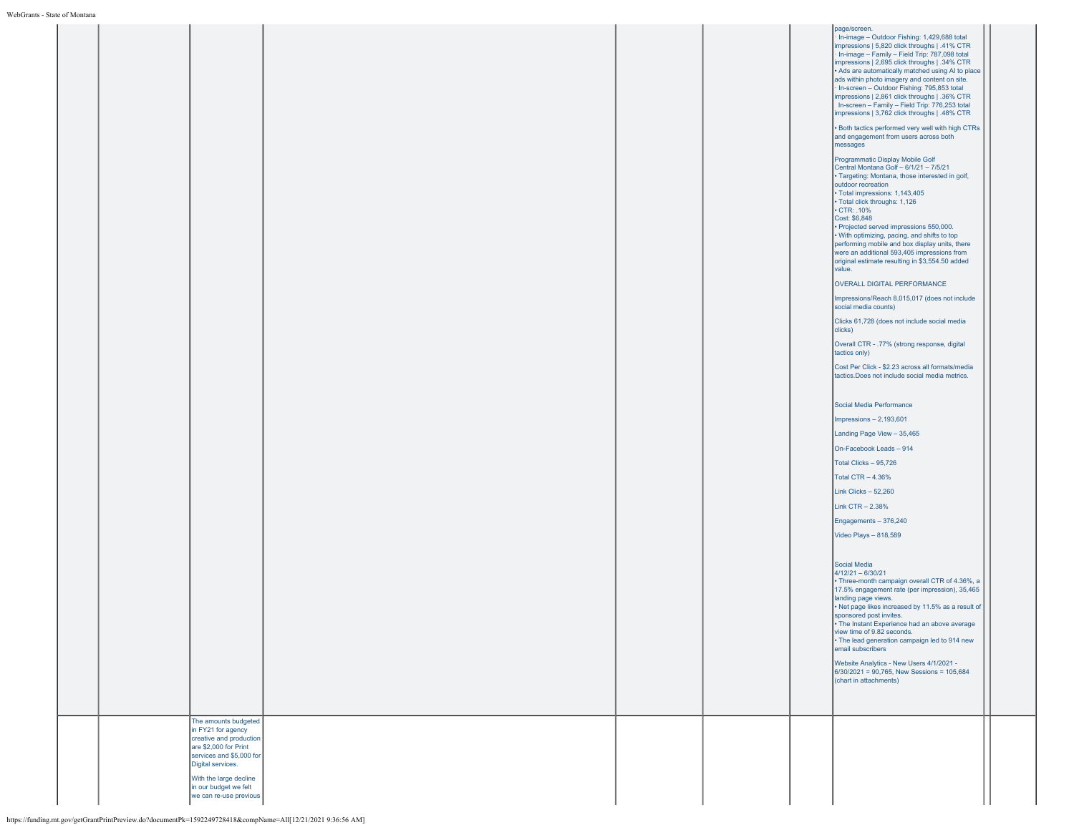| ms - otate of iviomana |                                                                                                                                                     |  |                                                                                                                                                                                                                                                                                                                                                                                                                                                                                                                                                                                                                                                                                                                                                                                                                                                                                                                                                                                                                                                                                                                                                                                                                                                                                                                                                                                                                                                                                                                                                                                                                                                                                                                                                                                                                                                                                                                                                                                                                                                                                                                                                                                                                                                                                                    |
|------------------------|-----------------------------------------------------------------------------------------------------------------------------------------------------|--|----------------------------------------------------------------------------------------------------------------------------------------------------------------------------------------------------------------------------------------------------------------------------------------------------------------------------------------------------------------------------------------------------------------------------------------------------------------------------------------------------------------------------------------------------------------------------------------------------------------------------------------------------------------------------------------------------------------------------------------------------------------------------------------------------------------------------------------------------------------------------------------------------------------------------------------------------------------------------------------------------------------------------------------------------------------------------------------------------------------------------------------------------------------------------------------------------------------------------------------------------------------------------------------------------------------------------------------------------------------------------------------------------------------------------------------------------------------------------------------------------------------------------------------------------------------------------------------------------------------------------------------------------------------------------------------------------------------------------------------------------------------------------------------------------------------------------------------------------------------------------------------------------------------------------------------------------------------------------------------------------------------------------------------------------------------------------------------------------------------------------------------------------------------------------------------------------------------------------------------------------------------------------------------------------|
|                        |                                                                                                                                                     |  | page/screen.<br>In-image - Outdoor Fishing: 1,429,688 total<br>impressions   5,820 click throughs   .41% CTR<br>· In-image - Family - Field Trip: 787,098 total<br>impressions   2,695 click throughs   .34% CTR<br>. Ads are automatically matched using AI to place<br>ads within photo imagery and content on site.<br>In-screen - Outdoor Fishing: 795,853 total<br>impressions   2,861 click throughs   .36% CTR<br>In-screen - Family - Field Trip: 776,253 total<br>impressions   3,762 click throughs   .48% CTR<br>. Both tactics performed very well with high CTRs<br>and engagement from users across both<br>messages<br>Programmatic Display Mobile Golf<br>Central Montana Golf - 6/1/21 - 7/5/21<br>· Targeting: Montana, those interested in golf,<br>outdoor recreation<br>· Total impressions: 1,143,405<br>• Total click throughs: 1,126<br>$\cdot$ CTR: .10%<br>Cost: \$6,848<br>· Projected served impressions 550,000.<br>. With optimizing, pacing, and shifts to top<br>performing mobile and box display units, there<br>were an additional 593,405 impressions from<br>original estimate resulting in \$3,554.50 added<br>value.<br>OVERALL DIGITAL PERFORMANCE<br>Impressions/Reach 8,015,017 (does not include<br>social media counts)<br>Clicks 61,728 (does not include social media<br>clicks)<br>Overall CTR - .77% (strong response, digital<br>tactics only)<br>Cost Per Click - \$2.23 across all formats/media<br>Itactics.Does not include social media metrics.<br>Social Media Performance<br>Impressions - 2,193,601<br>Landing Page View - 35,465<br>On-Facebook Leads - 914<br>Total Clicks - 95,726<br>Total CTR - 4.36%<br>Link Clicks $-52,260$<br>Link CTR - 2.38%<br>Engagements - 376,240<br>Video Plays - 818,589<br>Social Media<br>$4/12/21 - 6/30/21$<br>• Three-month campaign overall CTR of 4.36%, a<br>17.5% engagement rate (per impression), 35,465<br>landing page views.<br>• Net page likes increased by 11.5% as a result of<br>sponsored post invites.<br>• The Instant Experience had an above average<br>view time of 9.82 seconds.<br>. The lead generation campaign led to 914 new<br>email subscribers<br>Website Analytics - New Users 4/1/2021 -<br>$6/30/2021 = 90,765$ , New Sessions = 105,684<br>(chart in attachments) |
|                        | The amounts budgeted<br>in FY21 for agency<br>creative and production                                                                               |  |                                                                                                                                                                                                                                                                                                                                                                                                                                                                                                                                                                                                                                                                                                                                                                                                                                                                                                                                                                                                                                                                                                                                                                                                                                                                                                                                                                                                                                                                                                                                                                                                                                                                                                                                                                                                                                                                                                                                                                                                                                                                                                                                                                                                                                                                                                    |
|                        | are \$2,000 for Print<br>services and \$5,000 for<br>Digital services.<br>With the large decline<br>in our budget we felt<br>we can re-use previous |  |                                                                                                                                                                                                                                                                                                                                                                                                                                                                                                                                                                                                                                                                                                                                                                                                                                                                                                                                                                                                                                                                                                                                                                                                                                                                                                                                                                                                                                                                                                                                                                                                                                                                                                                                                                                                                                                                                                                                                                                                                                                                                                                                                                                                                                                                                                    |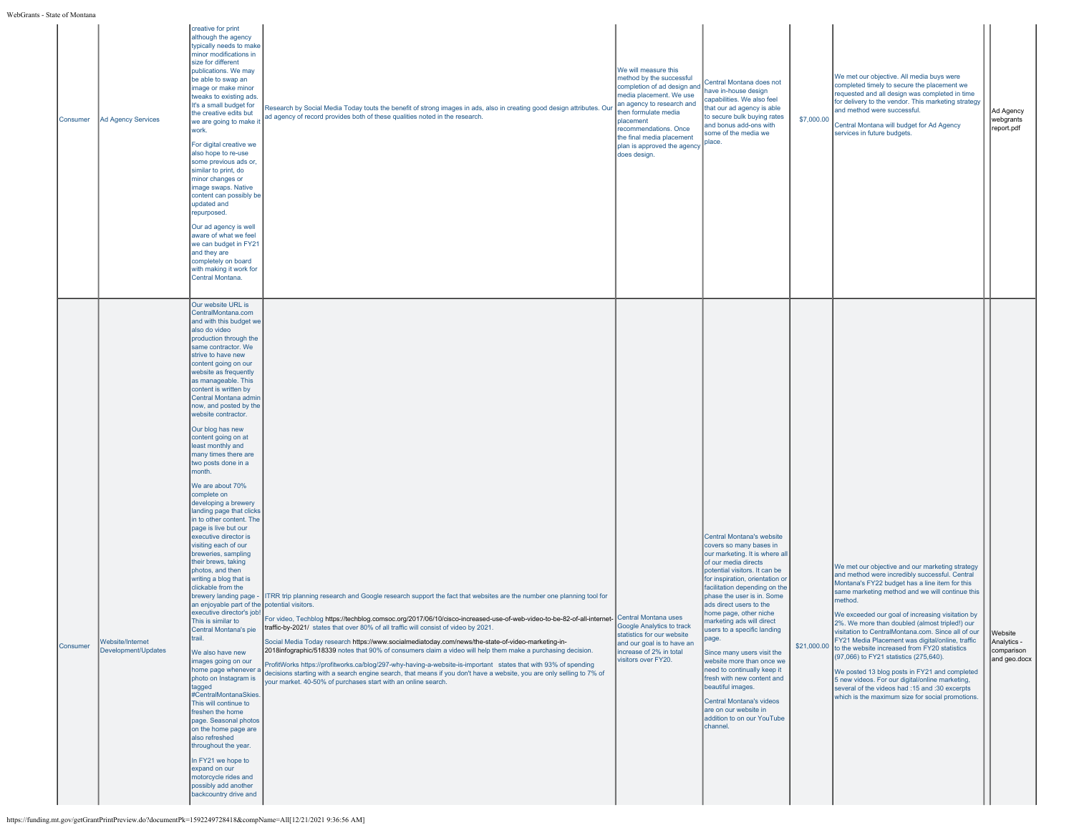| - State of Montana |                                         |                                                                                                                                                                                                                                                                                                                                                                                                                                                                                                                                                                                                                                                                                                                                                                                                                                                                                                                                                                                                                                                                                                                                                                                                                                                                                                                                      |                                                                                                                                                                                                                                                                                                                                                                                                                                                                                                                                                                                                                                                                                                                                                                                                                                                                                           |                                                                                                                                                                                                                                                                                   |                                                                                                                                                                                                                                                                                                                                                                                                                                                                                                                                                                                                                         |             |                                                                                                                                                                                                                                                                                                                                                                                                                                                                                                                                                                                                                                                                                                                                       |                                                      |
|--------------------|-----------------------------------------|--------------------------------------------------------------------------------------------------------------------------------------------------------------------------------------------------------------------------------------------------------------------------------------------------------------------------------------------------------------------------------------------------------------------------------------------------------------------------------------------------------------------------------------------------------------------------------------------------------------------------------------------------------------------------------------------------------------------------------------------------------------------------------------------------------------------------------------------------------------------------------------------------------------------------------------------------------------------------------------------------------------------------------------------------------------------------------------------------------------------------------------------------------------------------------------------------------------------------------------------------------------------------------------------------------------------------------------|-------------------------------------------------------------------------------------------------------------------------------------------------------------------------------------------------------------------------------------------------------------------------------------------------------------------------------------------------------------------------------------------------------------------------------------------------------------------------------------------------------------------------------------------------------------------------------------------------------------------------------------------------------------------------------------------------------------------------------------------------------------------------------------------------------------------------------------------------------------------------------------------|-----------------------------------------------------------------------------------------------------------------------------------------------------------------------------------------------------------------------------------------------------------------------------------|-------------------------------------------------------------------------------------------------------------------------------------------------------------------------------------------------------------------------------------------------------------------------------------------------------------------------------------------------------------------------------------------------------------------------------------------------------------------------------------------------------------------------------------------------------------------------------------------------------------------------|-------------|---------------------------------------------------------------------------------------------------------------------------------------------------------------------------------------------------------------------------------------------------------------------------------------------------------------------------------------------------------------------------------------------------------------------------------------------------------------------------------------------------------------------------------------------------------------------------------------------------------------------------------------------------------------------------------------------------------------------------------------|------------------------------------------------------|
| Consumer           | Ad Agency Services                      | creative for print<br>although the agency<br>typically needs to make<br>minor modifications in<br>size for different<br>publications. We may<br>be able to swap an<br>image or make minor<br>tweaks to existing ads.<br>It's a small budget for<br>the creative edits but<br>we are going to make it<br>work.<br>For digital creative we<br>also hope to re-use<br>some previous ads or,<br>similar to print, do<br>minor changes or<br>image swaps. Native<br>content can possibly be<br>updated and<br>repurposed.<br>Our ad agency is well<br>aware of what we feel<br>we can budget in FY21<br>and they are<br>completely on board<br>with making it work for<br>Central Montana.                                                                                                                                                                                                                                                                                                                                                                                                                                                                                                                                                                                                                                                | Research by Social Media Today touts the benefit of strong images in ads, also in creating good design attributes. Our<br>ad agency of record provides both of these qualities noted in the research.                                                                                                                                                                                                                                                                                                                                                                                                                                                                                                                                                                                                                                                                                     | We will measure this<br>method by the successful<br>completion of ad design and<br>media placement. We use<br>an agency to research and<br>then formulate media<br>placement<br>recommendations. Once<br>the final media placement<br>plan is approved the agency<br>does design. | Central Montana does not<br>ave in-house design<br>capabilities. We also feel<br>that our ad agency is able<br>to secure bulk buying rates<br>and bonus add-ons with<br>some of the media we<br>place.                                                                                                                                                                                                                                                                                                                                                                                                                  | \$7,000.00  | We met our objective. All media buys were<br>completed timely to secure the placement we<br>requested and all design was completed in time<br>for delivery to the vendor. This marketing strategy<br>and method were successful.<br>Central Montana will budget for Ad Agency<br>services in future budgets.                                                                                                                                                                                                                                                                                                                                                                                                                          | Ad Agency<br>webgrants<br>report.pdf                 |
| Consumer           | Website/Internet<br>Development/Updates | Our website URL is<br>CentralMontana.com<br>and with this budget we<br>also do video<br>production through the<br>same contractor. We<br>strive to have new<br>content going on our<br>website as frequently<br>as manageable. This<br>content is written by<br>Central Montana admin<br>now, and posted by the<br>website contractor.<br>Our blog has new<br>content going on at<br>least monthly and<br>many times there are<br>two posts done in a<br>month.<br>We are about 70%<br>complete on<br>developing a brewery<br>landing page that clicks<br>in to other content. The<br>page is live but our<br>executive director is<br>visiting each of our<br>breweries, sampling<br>their brews, taking<br>photos, and then<br>writing a blog that is<br>clickable from the<br>brewery landing page -<br>an enjoyable part of the potential visitors.<br>executive director's job!<br>This is similar to<br>Central Montana's pie<br>trail.<br>We also have new<br>images going on our<br>home page whenever a<br>photo on Instagram is<br>tagged<br>#CentralMontanaSkies.<br>This will continue to<br>freshen the home<br>page. Seasonal photos<br>on the home page are<br>also refreshed<br>throughout the year.<br>In FY21 we hope to<br>expand on our<br>motorcycle rides and<br>possibly add another<br>backcountry drive and | ITRR trip planning research and Google research support the fact that websites are the number one planning tool for<br>For video, Techblog https://techblog.comsoc.org/2017/06/10/cisco-increased-use-of-web-video-to-be-82-of-all-internet- Central Montana uses<br>traffic-by-2021/ states that over 80% of all traffic will consist of video by 2021.<br>Social Media Today research https://www.socialmediatoday.com/news/the-state-of-video-marketing-in-<br>2018infographic/518339 notes that 90% of consumers claim a video will help them make a purchasing decision.<br>ProfitWorks https://profitworks.ca/blog/297-why-having-a-website-is-important states that with 93% of spending<br>decisions starting with a search engine search, that means if you don't have a website, you are only selling to 7% of<br>your market. 40-50% of purchases start with an online search. | Google Analytics to track<br>statistics for our website<br>and our goal is to have an<br>increase of 2% in total<br>visitors over FY20.                                                                                                                                           | Central Montana's website<br>covers so many bases in<br>our marketing. It is where all<br>of our media directs<br>potential visitors. It can be<br>for inspiration, orientation or<br>facilitation depending on the<br>phase the user is in. Some<br>ads direct users to the<br>home page, other niche<br>marketing ads will direct<br>users to a specific landing<br>page.<br>Since many users visit the<br>website more than once we<br>need to continually keep it<br>fresh with new content and<br>beautiful images.<br>Central Montana's videos<br>are on our website in<br>addition to on our YouTube<br>channel. | \$21,000.00 | We met our objective and our marketing strategy<br>and method were incredibly successful. Central<br>Montana's FY22 budget has a line item for this<br>same marketing method and we will continue this<br>method.<br>We exceeded our goal of increasing visitation by<br>%. We more than doubled (almost tripled!) our<br>visitation to CentralMontana.com. Since all of our<br>FY21 Media Placement was digital/online, traffic<br>to the website increased from FY20 statistics<br>(97,066) to FY21 statistics (275,640).<br>We posted 13 blog posts in FY21 and completed<br>5 new videos. For our digital/online marketing,<br>several of the videos had :15 and :30 excerpts<br>which is the maximum size for social promotions. | Website<br>Analytics -<br>comparison<br>and geo.docx |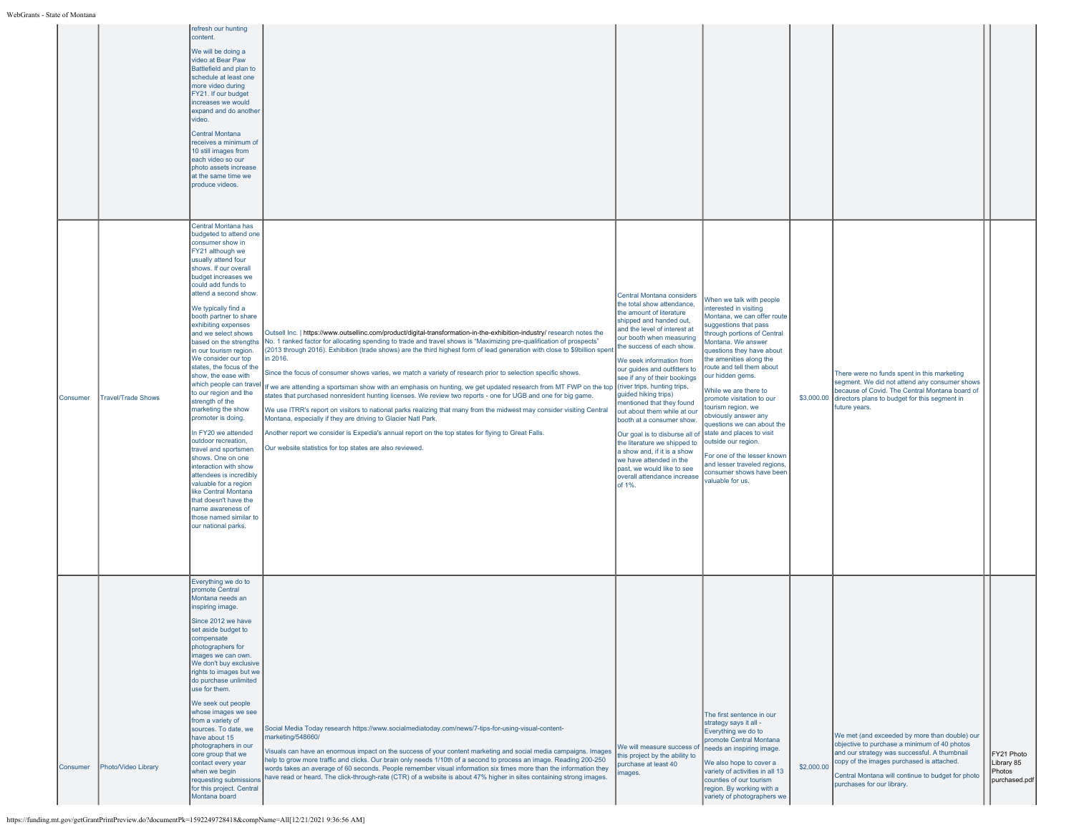| - State of Montana |                           |                                                                                                                                                                                                                                                                                                                                                                                                                                                                                                                                                                                                                                                                                                                                                                                                                                                           |                                                                                                                                                                                                                                                                                                                                                                                                                                                                                                                                                                                                                                                                                                                                                                                                                                                                                                                                                                                                                                                                                                                                        |                                                                                                                                                                                                                                                                                                                                                                                                                                                                                                                                                                                                                         |                                                                                                                                                                                                                                                                                                                                                                                                                                                                                                                                                                               |            |                                                                                                                                                                                                                                                                               |                                                     |
|--------------------|---------------------------|-----------------------------------------------------------------------------------------------------------------------------------------------------------------------------------------------------------------------------------------------------------------------------------------------------------------------------------------------------------------------------------------------------------------------------------------------------------------------------------------------------------------------------------------------------------------------------------------------------------------------------------------------------------------------------------------------------------------------------------------------------------------------------------------------------------------------------------------------------------|----------------------------------------------------------------------------------------------------------------------------------------------------------------------------------------------------------------------------------------------------------------------------------------------------------------------------------------------------------------------------------------------------------------------------------------------------------------------------------------------------------------------------------------------------------------------------------------------------------------------------------------------------------------------------------------------------------------------------------------------------------------------------------------------------------------------------------------------------------------------------------------------------------------------------------------------------------------------------------------------------------------------------------------------------------------------------------------------------------------------------------------|-------------------------------------------------------------------------------------------------------------------------------------------------------------------------------------------------------------------------------------------------------------------------------------------------------------------------------------------------------------------------------------------------------------------------------------------------------------------------------------------------------------------------------------------------------------------------------------------------------------------------|-------------------------------------------------------------------------------------------------------------------------------------------------------------------------------------------------------------------------------------------------------------------------------------------------------------------------------------------------------------------------------------------------------------------------------------------------------------------------------------------------------------------------------------------------------------------------------|------------|-------------------------------------------------------------------------------------------------------------------------------------------------------------------------------------------------------------------------------------------------------------------------------|-----------------------------------------------------|
|                    |                           | refresh our hunting<br>content.<br>We will be doing a<br>video at Bear Paw<br>Battlefield and plan to<br>schedule at least one<br>more video during<br>FY21. If our budget<br>increases we would<br>expand and do another<br>video.<br>Central Montana<br>receives a minimum of<br>10 still images from<br>each video so our<br>photo assets increase<br>at the same time we<br>produce videos.                                                                                                                                                                                                                                                                                                                                                                                                                                                           |                                                                                                                                                                                                                                                                                                                                                                                                                                                                                                                                                                                                                                                                                                                                                                                                                                                                                                                                                                                                                                                                                                                                        |                                                                                                                                                                                                                                                                                                                                                                                                                                                                                                                                                                                                                         |                                                                                                                                                                                                                                                                                                                                                                                                                                                                                                                                                                               |            |                                                                                                                                                                                                                                                                               |                                                     |
| Consumer           | <b>Travel/Trade Shows</b> | Central Montana has<br>budgeted to attend one<br>consumer show in<br>FY21 although we<br>usually attend four<br>shows. If our overall<br>budget increases we<br>could add funds to<br>attend a second show<br>We typically find a<br>booth partner to share<br>exhibiting expenses<br>and we select shows<br>based on the strengths<br>in our tourism region.<br>We consider our top<br>states, the focus of the<br>show, the ease with<br>which people can travel<br>to our region and the<br>strenath of the<br>marketing the show<br>promoter is doing.<br>In FY20 we attended<br>outdoor recreation,<br>travel and sportsmen<br>shows. One on one<br>interaction with show<br>attendees is incredibly<br>valuable for a region<br>like Central Montana<br>that doesn't have the<br>name awareness of<br>those named similar to<br>our national parks. | Outsell Inc.   https://www.outsellinc.com/product/digital-transformation-in-the-exhibition-industry/ research notes the<br>No. 1 ranked factor for allocating spending to trade and travel shows is "Maximizing pre-qualification of prospects"<br>(2013 through 2016). Exhibition (trade shows) are the third highest form of lead generation with close to \$9billion spent<br>in 2016.<br>Since the focus of consumer shows varies, we match a variety of research prior to selection specific shows.<br>If we are attending a sportsman show with an emphasis on hunting, we get updated research from MT FWP on the top (river trips, hunting trips,<br>states that purchased nonresident hunting licenses. We review two reports - one for UGB and one for big game.<br>We use ITRR's report on visitors to national parks realizing that many from the midwest may consider visiting Central<br>Montana, especially if they are driving to Glacier Natl Park.<br>Another report we consider is Expedia's annual report on the top states for flying to Great Falls.<br>Our website statistics for top states are also reviewed. | Central Montana considers<br>the total show attendance,<br>the amount of literature<br>shipped and handed out,<br>and the level of interest at<br>our booth when measuring<br>the success of each show.<br>We seek information from<br>our guides and outfitters to<br>see if any of their bookings<br>guided hiking trips)<br>mentioned that they found<br>out about them while at our<br>booth at a consumer show.<br>Our goal is to disburse all of<br>the literature we shipped to<br>a show and, if it is a show<br>we have attended in the<br>past, we would like to see<br>overall attendance increase<br>of 1%. | When we talk with people<br>interested in visiting<br>Montana, we can offer route<br>suggestions that pass<br>through portions of Central<br>Montana. We answer<br>questions they have about<br>the amenities along the<br>route and tell them about<br>our hidden gems.<br>While we are there to<br>promote visitation to our<br>tourism region, we<br>obviously answer any<br>questions we can about the<br>state and places to visit<br>outside our region.<br>For one of the lesser known<br>and lesser traveled regions,<br>consumer shows have been<br>valuable for us. |            | There were no funds spent in this marketing<br>segment. We did not attend any consumer shows<br>because of Covid. The Central Montana board of<br>\$3,000.00 directors plans to budget for this segment in<br>future years.                                                   |                                                     |
| Consumer           | Photo/Video Library       | Everything we do to<br>promote Central<br>Montana needs an<br>inspiring image.<br>Since 2012 we have<br>set aside budget to<br>compensate<br>photographers for<br>images we can own.<br>We don't buy exclusive<br>rights to images but we<br>do purchase unlimited<br>use for them.<br>We seek out people<br>whose images we see<br>from a variety of<br>sources. To date, we<br>have about 15<br>photographers in our<br>core group that we<br>contact every year<br>when we begin<br>requesting submissions<br>for this project. Central<br>Montana board                                                                                                                                                                                                                                                                                               | Social Media Today research https://www.socialmediatoday.com/news/7-tips-for-using-visual-content-<br>marketing/548660/<br>Visuals can have an enormous impact on the success of your content marketing and social media campaigns. Images<br>help to grow more traffic and clicks. Our brain only needs 1/10th of a second to process an image. Reading 200-250<br>words takes an average of 60 seconds. People remember visual information six times more than the information they<br>have read or heard. The click-through-rate (CTR) of a website is about 47% higher in sites containing strong images.                                                                                                                                                                                                                                                                                                                                                                                                                                                                                                                          | We will measure success of<br>this project by the ability to<br>purchase at least 40<br>images.                                                                                                                                                                                                                                                                                                                                                                                                                                                                                                                         | The first sentence in our<br>strategy says it all -<br>Everything we do to<br>promote Central Montana<br>needs an inspiring image.<br>We also hope to cover a<br>variety of activities in all 13<br>counties of our tourism<br>region. By working with a<br>variety of photographers we                                                                                                                                                                                                                                                                                       | \$2,000.00 | We met (and exceeded by more than double) our<br>objective to purchase a minimum of 40 photos<br>and our strategy was successful. A thumbnail<br>copy of the images purchased is attached.<br>Central Montana will continue to budget for photo<br>purchases for our library. | FY21 Photo<br>Library 85<br>Photos<br>purchased.pdf |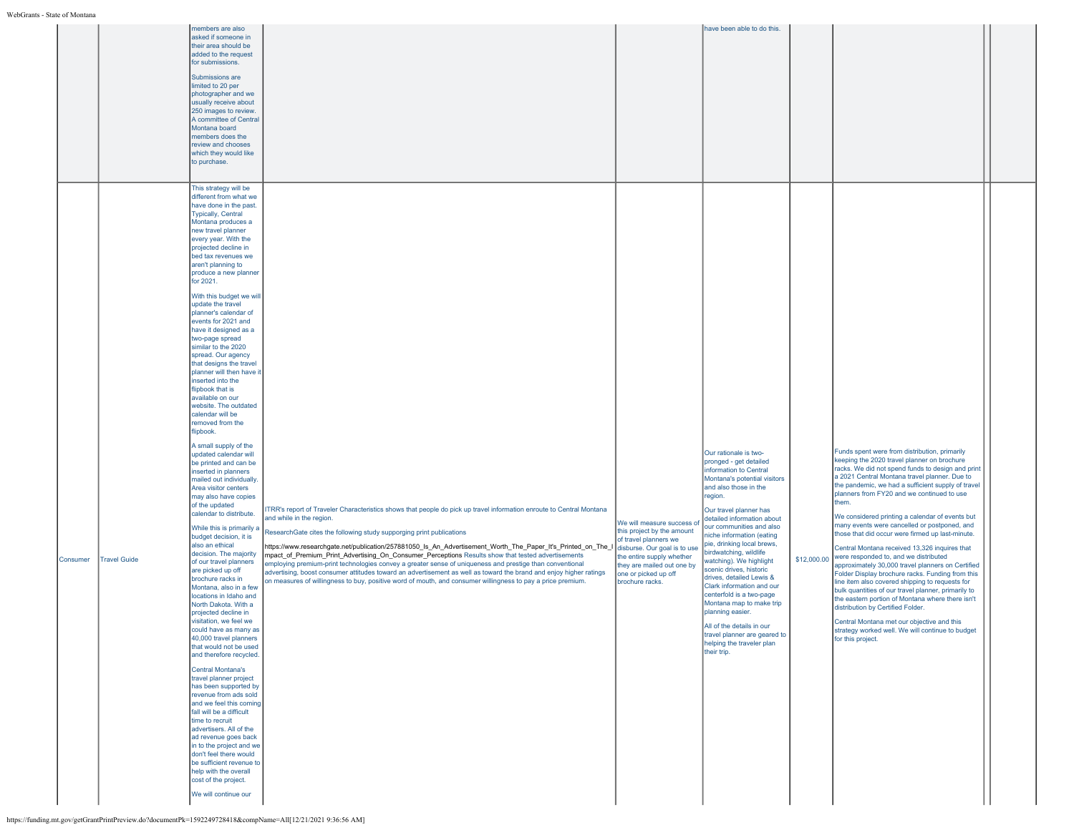|          |                     | members are also                                     |                                                                                                                                                                                                                                |                                                     | have been able to do this.                                |                                                                                                       |
|----------|---------------------|------------------------------------------------------|--------------------------------------------------------------------------------------------------------------------------------------------------------------------------------------------------------------------------------|-----------------------------------------------------|-----------------------------------------------------------|-------------------------------------------------------------------------------------------------------|
|          |                     | asked if someone in<br>their area should be          |                                                                                                                                                                                                                                |                                                     |                                                           |                                                                                                       |
|          |                     | added to the request<br>for submissions.             |                                                                                                                                                                                                                                |                                                     |                                                           |                                                                                                       |
|          |                     |                                                      |                                                                                                                                                                                                                                |                                                     |                                                           |                                                                                                       |
|          |                     | Submissions are<br>limited to 20 per                 |                                                                                                                                                                                                                                |                                                     |                                                           |                                                                                                       |
|          |                     | photographer and we                                  |                                                                                                                                                                                                                                |                                                     |                                                           |                                                                                                       |
|          |                     | usually receive about                                |                                                                                                                                                                                                                                |                                                     |                                                           |                                                                                                       |
|          |                     | 250 images to review.<br>A committee of Central      |                                                                                                                                                                                                                                |                                                     |                                                           |                                                                                                       |
|          |                     | Montana board                                        |                                                                                                                                                                                                                                |                                                     |                                                           |                                                                                                       |
|          |                     | members does the                                     |                                                                                                                                                                                                                                |                                                     |                                                           |                                                                                                       |
|          |                     | review and chooses<br>which they would like          |                                                                                                                                                                                                                                |                                                     |                                                           |                                                                                                       |
|          |                     | to purchase.                                         |                                                                                                                                                                                                                                |                                                     |                                                           |                                                                                                       |
|          |                     |                                                      |                                                                                                                                                                                                                                |                                                     |                                                           |                                                                                                       |
|          |                     | This strategy will be<br>different from what we      |                                                                                                                                                                                                                                |                                                     |                                                           |                                                                                                       |
|          |                     | have done in the past.                               |                                                                                                                                                                                                                                |                                                     |                                                           |                                                                                                       |
|          |                     | <b>Typically, Central</b>                            |                                                                                                                                                                                                                                |                                                     |                                                           |                                                                                                       |
|          |                     | Montana produces a<br>new travel planner             |                                                                                                                                                                                                                                |                                                     |                                                           |                                                                                                       |
|          |                     | every year. With the                                 |                                                                                                                                                                                                                                |                                                     |                                                           |                                                                                                       |
|          |                     | projected decline in                                 |                                                                                                                                                                                                                                |                                                     |                                                           |                                                                                                       |
|          |                     | bed tax revenues we<br>aren't planning to            |                                                                                                                                                                                                                                |                                                     |                                                           |                                                                                                       |
|          |                     | produce a new planner                                |                                                                                                                                                                                                                                |                                                     |                                                           |                                                                                                       |
|          |                     | for 2021.                                            |                                                                                                                                                                                                                                |                                                     |                                                           |                                                                                                       |
|          |                     | With this budget we will                             |                                                                                                                                                                                                                                |                                                     |                                                           |                                                                                                       |
|          |                     | update the travel<br>planner's calendar of           |                                                                                                                                                                                                                                |                                                     |                                                           |                                                                                                       |
|          |                     | events for 2021 and                                  |                                                                                                                                                                                                                                |                                                     |                                                           |                                                                                                       |
|          |                     | have it designed as a                                |                                                                                                                                                                                                                                |                                                     |                                                           |                                                                                                       |
|          |                     | two-page spread<br>similar to the 2020               |                                                                                                                                                                                                                                |                                                     |                                                           |                                                                                                       |
|          |                     | spread. Our agency                                   |                                                                                                                                                                                                                                |                                                     |                                                           |                                                                                                       |
|          |                     | that designs the travel<br>planner will then have it |                                                                                                                                                                                                                                |                                                     |                                                           |                                                                                                       |
|          |                     | inserted into the                                    |                                                                                                                                                                                                                                |                                                     |                                                           |                                                                                                       |
|          |                     | flipbook that is                                     |                                                                                                                                                                                                                                |                                                     |                                                           |                                                                                                       |
|          |                     | available on our<br>website. The outdated            |                                                                                                                                                                                                                                |                                                     |                                                           |                                                                                                       |
|          |                     | calendar will be                                     |                                                                                                                                                                                                                                |                                                     |                                                           |                                                                                                       |
|          |                     | removed from the<br>flipbook.                        |                                                                                                                                                                                                                                |                                                     |                                                           |                                                                                                       |
|          |                     |                                                      |                                                                                                                                                                                                                                |                                                     |                                                           |                                                                                                       |
|          |                     | A small supply of the<br>updated calendar will       |                                                                                                                                                                                                                                |                                                     | Our rationale is two-                                     | Funds spent were from distribution, primarily                                                         |
|          |                     | be printed and can be                                |                                                                                                                                                                                                                                |                                                     | pronged - get detailed                                    | keeping the 2020 travel planner on brochure                                                           |
|          |                     | inserted in planners<br>mailed out individually.     |                                                                                                                                                                                                                                |                                                     | information to Central<br>Montana's potential visitors    | racks. We did not spend funds to design and print<br>a 2021 Central Montana travel planner. Due to    |
|          |                     | Area visitor centers                                 |                                                                                                                                                                                                                                |                                                     | and also those in the                                     | the pandemic, we had a sufficient supply of travel                                                    |
|          |                     | may also have copies                                 |                                                                                                                                                                                                                                |                                                     | region.                                                   | planners from FY20 and we continued to use<br>them.                                                   |
|          |                     | of the updated<br>calendar to distribute.            | ITRR's report of Traveler Characteristics shows that people do pick up travel information enroute to Central Montana                                                                                                           |                                                     | Our travel planner has                                    |                                                                                                       |
|          |                     |                                                      | and while in the region.                                                                                                                                                                                                       | We will measure success of                          | detailed information about<br>our communities and also    | We considered printing a calendar of events but<br>many events were cancelled or postponed, and       |
|          |                     | While this is primarily a<br>budget decision, it is  | ResearchGate cites the following study supporging print publications                                                                                                                                                           | this project by the amount<br>of travel planners we | niche information (eating                                 | those that did occur were firmed up last-minute.                                                      |
|          |                     | also an ethical                                      | https://www.researchgate.net/publication/257881050_Is_An_Advertisement_Worth_The_Paper_It's_Printed_on_The_I disburse. Our goal is to use                                                                                      |                                                     | pie, drinking local brews,                                | Central Montana received 13,326 inquires that                                                         |
| Consumer | <b>Travel Guide</b> | decision. The majority<br>of our travel planners     | mpact_of_Premium_Print_Advertising_On_Consumer_Perceptions Results show that tested advertisements                                                                                                                             | the entire supply whether                           | birdwatching, wildlife<br>watching). We highlight         | \$12,000.00 were responded to, and we distributed                                                     |
|          |                     | are picked up off                                    | employing premium-print technologies convey a greater sense of uniqueness and prestige than conventional<br>advertising, boost consumer attitudes toward an advertisement as well as toward the brand and enjoy higher ratings | they are mailed out one by<br>one or picked up off  | scenic drives, historic                                   | approximately 30,000 travel planners on Certified<br>Folder Display brochure racks. Funding from this |
|          |                     | brochure racks in                                    | on measures of willingness to buy, positive word of mouth, and consumer willingness to pay a price premium.                                                                                                                    | brochure racks.                                     | drives, detailed Lewis &<br>Clark information and our     | line item also covered shipping to requests for                                                       |
|          |                     | Montana, also in a few<br>locations in Idaho and     |                                                                                                                                                                                                                                |                                                     | centerfold is a two-page                                  | bulk quantities of our travel planner, primarily to                                                   |
|          |                     | North Dakota, With a                                 |                                                                                                                                                                                                                                |                                                     | Montana map to make trip                                  | the eastern portion of Montana where there isn't<br>distribution by Certified Folder.                 |
|          |                     | projected decline in<br>visitation, we feel we       |                                                                                                                                                                                                                                |                                                     | planning easier.                                          |                                                                                                       |
|          |                     | could have as many as                                |                                                                                                                                                                                                                                |                                                     | All of the details in our                                 | Central Montana met our objective and this<br>strategy worked well. We will continue to budget        |
|          |                     | 40,000 travel planners                               |                                                                                                                                                                                                                                |                                                     | travel planner are geared to<br>helping the traveler plan | for this project.                                                                                     |
|          |                     | that would not be used<br>and therefore recycled.    |                                                                                                                                                                                                                                |                                                     | their trip.                                               |                                                                                                       |
|          |                     |                                                      |                                                                                                                                                                                                                                |                                                     |                                                           |                                                                                                       |
|          |                     | Central Montana's<br>travel planner project          |                                                                                                                                                                                                                                |                                                     |                                                           |                                                                                                       |
|          |                     | has been supported by                                |                                                                                                                                                                                                                                |                                                     |                                                           |                                                                                                       |
|          |                     | revenue from ads sold                                |                                                                                                                                                                                                                                |                                                     |                                                           |                                                                                                       |
|          |                     | and we feel this coming<br>fall will be a difficult  |                                                                                                                                                                                                                                |                                                     |                                                           |                                                                                                       |
|          |                     | time to recruit                                      |                                                                                                                                                                                                                                |                                                     |                                                           |                                                                                                       |
|          |                     | advertisers. All of the                              |                                                                                                                                                                                                                                |                                                     |                                                           |                                                                                                       |
|          |                     | ad revenue goes back<br>in to the project and we     |                                                                                                                                                                                                                                |                                                     |                                                           |                                                                                                       |
|          |                     | don't feel there would                               |                                                                                                                                                                                                                                |                                                     |                                                           |                                                                                                       |
|          |                     |                                                      |                                                                                                                                                                                                                                |                                                     |                                                           |                                                                                                       |
|          |                     | be sufficient revenue to                             |                                                                                                                                                                                                                                |                                                     |                                                           |                                                                                                       |
|          |                     | help with the overall<br>cost of the project.        |                                                                                                                                                                                                                                |                                                     |                                                           |                                                                                                       |
|          |                     | We will continue our                                 |                                                                                                                                                                                                                                |                                                     |                                                           |                                                                                                       |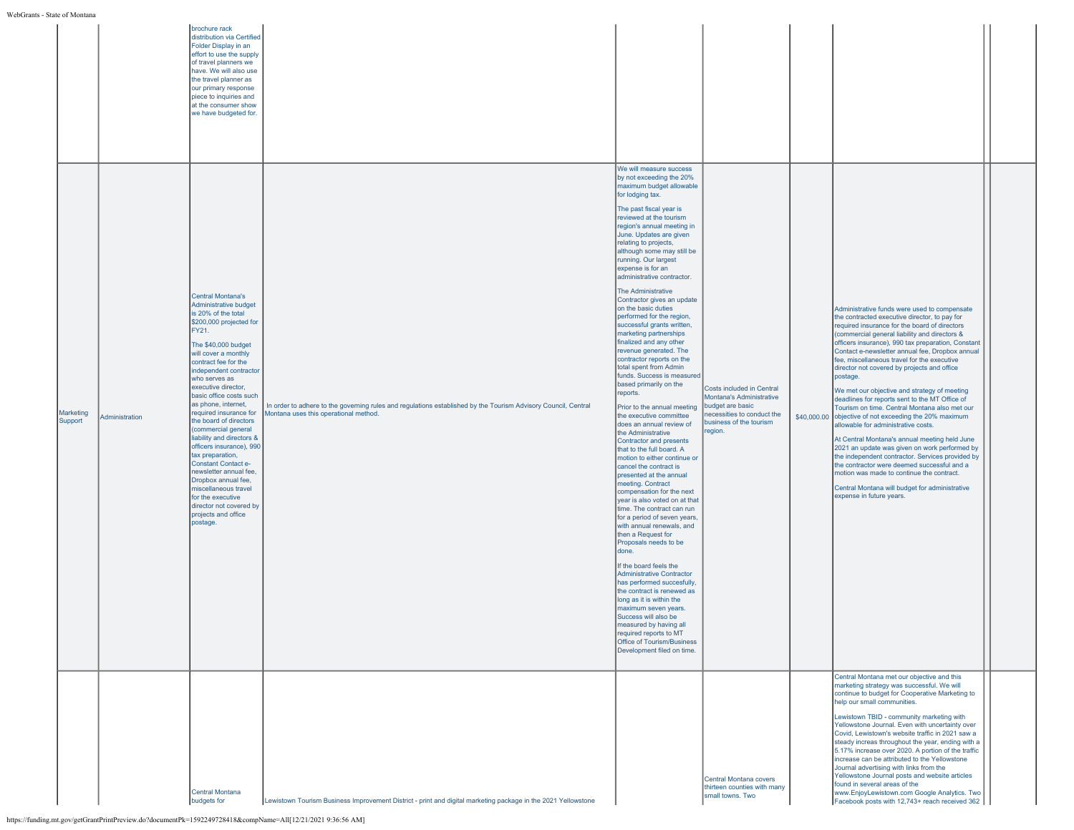|                      |                | brochure rack<br>distribution via Certified<br>Folder Display in an<br>effort to use the supply<br>of travel planners we<br>have. We will also use<br>the travel planner as<br>our primary response<br>piece to inquiries and<br>at the consumer show<br>we have budgeted for.                                                                                                                                                                                                                                                                                                                                                              |                                                                                                                                                         |                                                                                                                                                                                                                                                                                                                                                                                                                                                                                                                                                                                                                                                                                                                                                                                                                                                                                                                                                                                                                                                                                                                                                                                                                                                                                                                                                                                                                                                                                                                                  |                                                                                                                                                      |                                                                                                                                                                                                                                                                                                                                                                                                                                                                                                                                                                                                                                                                                                                                                                                                                                                                                                                                                                                                        |  |
|----------------------|----------------|---------------------------------------------------------------------------------------------------------------------------------------------------------------------------------------------------------------------------------------------------------------------------------------------------------------------------------------------------------------------------------------------------------------------------------------------------------------------------------------------------------------------------------------------------------------------------------------------------------------------------------------------|---------------------------------------------------------------------------------------------------------------------------------------------------------|----------------------------------------------------------------------------------------------------------------------------------------------------------------------------------------------------------------------------------------------------------------------------------------------------------------------------------------------------------------------------------------------------------------------------------------------------------------------------------------------------------------------------------------------------------------------------------------------------------------------------------------------------------------------------------------------------------------------------------------------------------------------------------------------------------------------------------------------------------------------------------------------------------------------------------------------------------------------------------------------------------------------------------------------------------------------------------------------------------------------------------------------------------------------------------------------------------------------------------------------------------------------------------------------------------------------------------------------------------------------------------------------------------------------------------------------------------------------------------------------------------------------------------|------------------------------------------------------------------------------------------------------------------------------------------------------|--------------------------------------------------------------------------------------------------------------------------------------------------------------------------------------------------------------------------------------------------------------------------------------------------------------------------------------------------------------------------------------------------------------------------------------------------------------------------------------------------------------------------------------------------------------------------------------------------------------------------------------------------------------------------------------------------------------------------------------------------------------------------------------------------------------------------------------------------------------------------------------------------------------------------------------------------------------------------------------------------------|--|
| Marketing<br>Support | Administration | Central Montana's<br>Administrative budget<br>is 20% of the total<br>\$200,000 projected for<br>FY21.<br>The \$40,000 budget<br>will cover a monthly<br>contract fee for the<br>independent contractor<br>who serves as<br>executive director,<br>basic office costs such<br>as phone, internet,<br>required insurance for<br>the board of directors<br>(commercial general<br>liability and directors &<br>officers insurance), 990<br>tax preparation,<br>Constant Contact e-<br>newsletter annual fee,<br>Dropbox annual fee,<br>miscellaneous travel<br>for the executive<br>director not covered by<br>projects and office<br>postage. | In order to adhere to the governing rules and regulations established by the Tourism Advisory Council, Central<br>Montana uses this operational method. | We will measure success<br>by not exceeding the 20%<br>maximum budget allowable<br>for lodging tax.<br>The past fiscal year is<br>reviewed at the tourism<br>region's annual meeting in<br>June. Updates are given<br>relating to projects,<br>although some may still be<br>running. Our largest<br>expense is for an<br>administrative contractor.<br>The Administrative<br>Contractor gives an update<br>on the basic duties<br>performed for the region,<br>successful grants written,<br>marketing partnerships<br>finalized and any other<br>revenue generated. The<br>contractor reports on the<br>total spent from Admin<br>funds. Success is measured<br>based primarily on the<br>reports.<br>Prior to the annual meeting<br>the executive committee<br>does an annual review of<br>the Administrative<br>Contractor and presents<br>that to the full board. A<br>motion to either continue or<br>cancel the contract is<br>presented at the annual<br>meeting. Contract<br>compensation for the next<br>year is also voted on at that<br>time. The contract can run<br>for a period of seven years,<br>with annual renewals, and<br>then a Request for<br>Proposals needs to be<br>done.<br>If the board feels the<br><b>Administrative Contractor</b><br>has performed succesfully.<br>the contract is renewed as<br>long as it is within the<br>maximum seven years.<br>Success will also be<br>measured by having all<br>required reports to MT<br><b>Office of Tourism/Business</b><br>Development filed on time. | <b>Costs included in Central</b><br>Montana's Administrative<br>budget are basic<br>necessities to conduct the<br>business of the tourism<br>region. | Administrative funds were used to compensate<br>the contracted executive director, to pay for<br>required insurance for the board of directors<br>(commercial general liability and directors &<br>officers insurance), 990 tax preparation, Constant<br>Contact e-newsletter annual fee, Dropbox annual<br>fee, miscellaneous travel for the executive<br>director not covered by projects and office<br>postage.<br>We met our objective and strategy of meeting<br>deadlines for reports sent to the MT Office of<br>Tourism on time. Central Montana also met our<br>\$40,000.00 objective of not exceeding the 20% maximum<br>allowable for administrative costs.<br>At Central Montana's annual meeting held June<br>2021 an update was given on work performed by<br>the independent contractor. Services provided by<br>the contractor were deemed successful and a<br>motion was made to continue the contract.<br>Central Montana will budget for administrative<br>expense in future years. |  |
|                      |                | <b>Central Montana</b><br>budgets for                                                                                                                                                                                                                                                                                                                                                                                                                                                                                                                                                                                                       | Lewistown Tourism Business Improvement District - print and digital marketing package in the 2021 Yellowstone                                           |                                                                                                                                                                                                                                                                                                                                                                                                                                                                                                                                                                                                                                                                                                                                                                                                                                                                                                                                                                                                                                                                                                                                                                                                                                                                                                                                                                                                                                                                                                                                  | Central Montana covers<br>thirteen counties with many<br>small towns. Two                                                                            | Central Montana met our objective and this<br>marketing strategy was successful. We will<br>continue to budget for Cooperative Marketing to<br>help our small communities.<br>Lewistown TBID - community marketing with<br>Yellowstone Journal. Even with uncertainty over<br>Covid, Lewistown's website traffic in 2021 saw a<br>steady increas throughout the year, ending with a<br>5.17% increase over 2020. A portion of the traffic<br>increase can be attributed to the Yellowstone<br>Journal advertising with links from the<br>Yellowstone Journal posts and website articles<br>found in several areas of the<br>www.EnjoyLewistown.com Google Analytics. Two<br>Facebook posts with 12,743+ reach received 362                                                                                                                                                                                                                                                                             |  |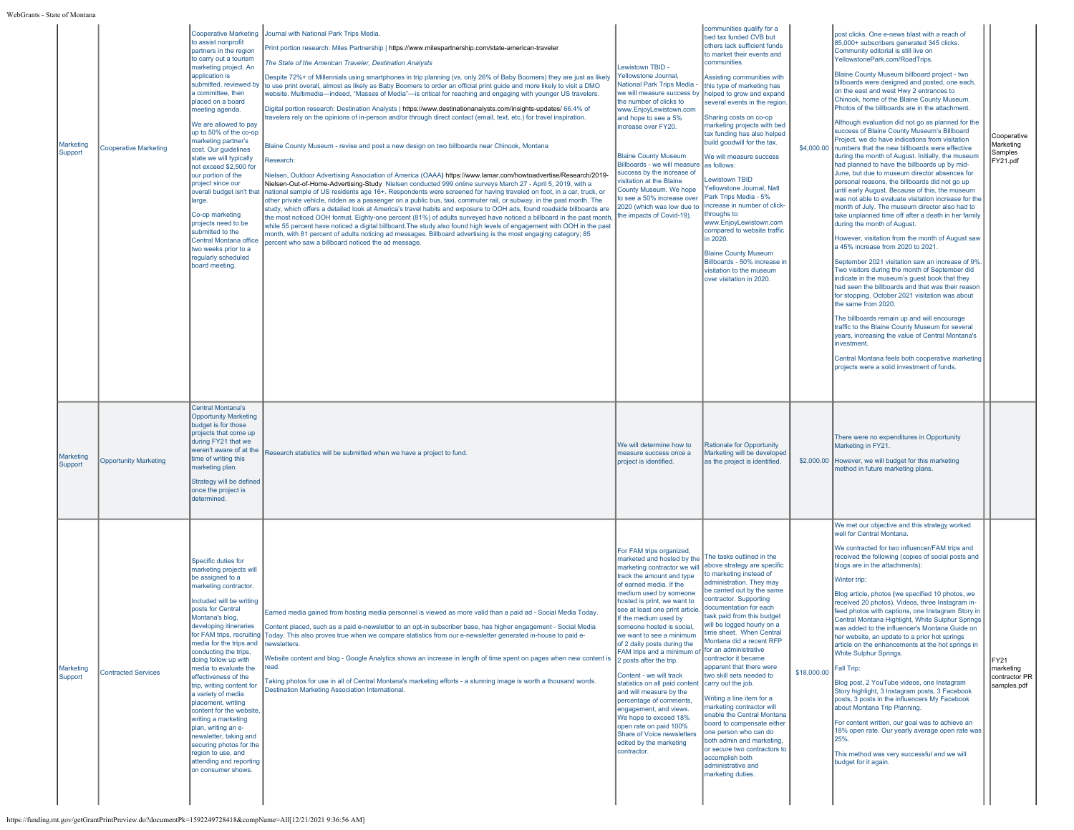| ate of Montan        |                              |                                                                                                                                                                                                                                                                                                                                                                                            |                                                                                                                                                                                                                                                                                                    |                                                                                                                                                                                                                                                                                                                                                                                                                                                                                                                                                                                                                                                                                                                                                                                                                                                                                                                                                                                                                                                                                                                                                                                                                                                                                                                                                                                                                                                                                                                                                                                                                                                                                                                                                                                                                                                                                                                                                                                                   |                                                                                                                                                                                                                                                                                                                                                                                                                                                                                                                                                                                                                                                                                                                                       |                                                                                                                                                                                                                                                                                                                                                                                                                                                                                                                                                                                                                                                                                                                                                       |             |                                                                                                                                                                                                                                                                                                                                                                                                                                                                                                                                                                                                                                                                                                                                                                                                                                                                                                                                                                                                                                                                                                                                                                                                                                                                                                                                                                                                                                                                                                                                                                                                                                                                                                                                                            |                                                   |
|----------------------|------------------------------|--------------------------------------------------------------------------------------------------------------------------------------------------------------------------------------------------------------------------------------------------------------------------------------------------------------------------------------------------------------------------------------------|----------------------------------------------------------------------------------------------------------------------------------------------------------------------------------------------------------------------------------------------------------------------------------------------------|---------------------------------------------------------------------------------------------------------------------------------------------------------------------------------------------------------------------------------------------------------------------------------------------------------------------------------------------------------------------------------------------------------------------------------------------------------------------------------------------------------------------------------------------------------------------------------------------------------------------------------------------------------------------------------------------------------------------------------------------------------------------------------------------------------------------------------------------------------------------------------------------------------------------------------------------------------------------------------------------------------------------------------------------------------------------------------------------------------------------------------------------------------------------------------------------------------------------------------------------------------------------------------------------------------------------------------------------------------------------------------------------------------------------------------------------------------------------------------------------------------------------------------------------------------------------------------------------------------------------------------------------------------------------------------------------------------------------------------------------------------------------------------------------------------------------------------------------------------------------------------------------------------------------------------------------------------------------------------------------------|---------------------------------------------------------------------------------------------------------------------------------------------------------------------------------------------------------------------------------------------------------------------------------------------------------------------------------------------------------------------------------------------------------------------------------------------------------------------------------------------------------------------------------------------------------------------------------------------------------------------------------------------------------------------------------------------------------------------------------------|-------------------------------------------------------------------------------------------------------------------------------------------------------------------------------------------------------------------------------------------------------------------------------------------------------------------------------------------------------------------------------------------------------------------------------------------------------------------------------------------------------------------------------------------------------------------------------------------------------------------------------------------------------------------------------------------------------------------------------------------------------|-------------|------------------------------------------------------------------------------------------------------------------------------------------------------------------------------------------------------------------------------------------------------------------------------------------------------------------------------------------------------------------------------------------------------------------------------------------------------------------------------------------------------------------------------------------------------------------------------------------------------------------------------------------------------------------------------------------------------------------------------------------------------------------------------------------------------------------------------------------------------------------------------------------------------------------------------------------------------------------------------------------------------------------------------------------------------------------------------------------------------------------------------------------------------------------------------------------------------------------------------------------------------------------------------------------------------------------------------------------------------------------------------------------------------------------------------------------------------------------------------------------------------------------------------------------------------------------------------------------------------------------------------------------------------------------------------------------------------------------------------------------------------------|---------------------------------------------------|
| Marketing<br>Support | <b>Cooperative Marketing</b> | to assist nonprofit<br>partners in the region<br>application is<br>a committee, then<br>placed on a board<br>meeting agenda.<br>marketing partner's<br>cost. Our guidelines<br>state we will typically<br>our portion of the<br>project since our<br>large.<br>Co-op marketing<br>projects need to be<br>submitted to the<br>two weeks prior to a<br>regularly scheduled<br>board meeting. | to carry out a tourism<br>marketing project. An<br>submitted, reviewed b<br>We are allowed to pay<br>up to 50% of the co-op<br>not exceed \$2,500 for<br>overall budget isn't that<br>Central Montana office                                                                                       | Cooperative Marketing Journal with National Park Trips Media<br>Print portion research: Miles Partnership   https://www.milespartnership.com/state-american-traveler<br>The State of the American Traveler, Destination Analysts<br>Despite 72%+ of Millennials using smartphones in trip planning (vs. only 26% of Baby Boomers) they are just as likely<br>to use print overall, almost as likely as Baby Boomers to order an official print quide and more likely to visit a DMO<br>website. Multimedia—indeed, "Masses of Media"—is critical for reaching and engaging with younger US travelers.<br>Digital portion research: Destination Analysts   https://www.destinationanalysts.com/insights-updates/ 66.4% of<br>travelers rely on the opinions of in-person and/or through direct contact (email, text, etc.) for travel inspiration.<br>Blaine County Museum - revise and post a new design on two billboards near Chinook, Montana<br>Research:<br>Nielsen, Outdoor Advertising Association of America (OAAA) https://www.lamar.com/howtoadvertise/Research/2019-<br>Nielsen-Out-of-Home-Advertising-Study Nielsen conducted 999 online surveys March 27 - April 5, 2019, with a<br>national sample of US residents age 16+. Respondents were screened for having traveled on foot, in a car, truck, or<br>other private vehicle, ridden as a passenger on a public bus, taxi, commuter rail, or subway, in the past month. The<br>study, which offers a detailed look at America's travel habits and exposure to OOH ads, found roadside billboards are<br>the most noticed OOH format. Eighty-one percent (81%) of adults surveyed have noticed a billboard in the past month,<br>while 55 percent have noticed a digital billboard. The study also found high levels of engagement with OOH in the past<br>nonth, with 81 percent of adults noticing ad messages. Billboard advertising is the most engaging category; 85<br>percent who saw a billboard noticed the ad message. | -ewistown TBID<br>Yellowstone Journal,<br>National Park Trips Media -<br>we will measure success by<br>the number of clicks to<br>www.EnjoyLewistown.com<br>and hope to see a 5%<br>increase over FY20.<br><b>Blaine County Museum</b><br>Billboards - we will measure<br>success by the increase of<br>visitation at the Blaine<br>County Museum. We hope<br>to see a 50% increase over<br>2020 (which was low due to<br>the impacts of Covid-19).                                                                                                                                                                                                                                                                                   | communities qualify for a<br>bed tax funded CVB but<br>others lack sufficient funds<br>to market their events and<br>communities.<br>Assisting communities with<br>this type of marketing has<br>helped to grow and expand<br>several events in the region<br>Sharing costs on co-op<br>marketing projects with bed<br>tax funding has also helped<br>build goodwill for the tax.<br>We will measure success<br>as follows:<br><b>Lewistown TBID</b><br>Yellowstone Journal, Natl<br>Park Trips Media - 5%<br>increase in number of click-<br>throughs to<br>www.EnjoyLewistown.com<br>compared to website traffic<br>in 2020.<br><b>Blaine County Museum</b><br>Billboards - 50% increase in<br>visitation to the museum<br>over visitation in 2020. |             | post clicks. One e-news blast with a reach of<br>85,000+ subscribers generated 345 clicks.<br>Community editorial is still live on<br>YellowstonePark.com/RoadTrips.<br>Blaine County Museum billboard project - two<br>billboards were designed and posted, one each,<br>on the east and west Hwy 2 entrances to<br>Chinook, home of the Blaine County Museum.<br>Photos of the billboards are in the attachment.<br>Although evaluation did not go as planned for the<br>success of Blaine County Museum's Billboard<br>Project, we do have indications from visitation<br>\$4,000,00   numbers that the new billboards were effective<br>during the month of August. Initially, the museum<br>had planned to have the billboards up by mid-<br>June, but due to museum director absences for<br>personal reasons, the billboards did not go up<br>until early August. Because of this, the museum<br>was not able to evaluate visitation increase for the<br>month of July. The museum director also had to<br>take unplanned time off after a death in her family<br>during the month of August.<br>However, visitation from the month of August saw<br>a 45% increase from 2020 to 2021.<br>September 2021 visitation saw an increase of 9%.<br>Two visitors during the month of September did<br>indicate in the museum's guest book that they<br>had seen the billboards and that was their reason<br>for stopping. October 2021 visitation was about<br>the same from 2020.<br>The billboards remain up and will encourage<br>traffic to the Blaine County Museum for several<br>years, increasing the value of Central Montana's<br>investment.<br>Central Montana feels both cooperative marketing<br>projects were a solid investment of funds. | Cooperative<br>Marketing<br>Samples<br>FY21.pdf   |
| Marketing<br>Support | <b>Opportunity Marketing</b> | Central Montana's<br>budget is for those<br>during FY21 that we<br>time of writing this<br>marketing plan.<br>once the project is<br>determined.                                                                                                                                                                                                                                           | <b>Opportunity Marketing</b><br>projects that come up<br>weren't aware of at the<br>Strategy will be defined                                                                                                                                                                                       | Research statistics will be submitted when we have a project to fund.                                                                                                                                                                                                                                                                                                                                                                                                                                                                                                                                                                                                                                                                                                                                                                                                                                                                                                                                                                                                                                                                                                                                                                                                                                                                                                                                                                                                                                                                                                                                                                                                                                                                                                                                                                                                                                                                                                                             | We will determine how to<br>measure success once a<br>project is identified.                                                                                                                                                                                                                                                                                                                                                                                                                                                                                                                                                                                                                                                          | <b>Rationale for Opportunity</b><br>Marketing will be developed<br>as the project is identified.                                                                                                                                                                                                                                                                                                                                                                                                                                                                                                                                                                                                                                                      |             | There were no expenditures in Opportunity<br>Marketing in FY21.<br>\$2,000.00 However, we will budget for this marketing<br>method in future marketing plans.                                                                                                                                                                                                                                                                                                                                                                                                                                                                                                                                                                                                                                                                                                                                                                                                                                                                                                                                                                                                                                                                                                                                                                                                                                                                                                                                                                                                                                                                                                                                                                                              |                                                   |
| Marketing<br>Support | <b>Contracted Services</b>   | Specific duties for<br>be assigned to a<br>posts for Central<br>Montana's blog,<br>conducting the trips,<br>doing follow up with<br>effectiveness of the<br>a variety of media<br>placement, writing<br>writing a marketing<br>plan, writing an e-<br>region to use, and<br>on consumer shows.                                                                                             | marketing projects will<br>marketing contractor.<br>Included will be writing<br>developing itineraries<br>media for the trips and<br>media to evaluate the<br>trip, writing content for<br>content for the website<br>newsletter, taking and<br>securing photos for the<br>attending and reporting | Earned media gained from hosting media personnel is viewed as more valid than a paid ad - Social Media Today.<br>Content placed, such as a paid e-newsletter to an opt-in subscriber base, has higher engagement - Social Media<br>for FAM trips, recruiting Today. This also proves true when we compare statistics from our e-newsletter generated in-house to paid e-<br>newsletters.<br>Website content and blog - Google Analytics shows an increase in length of time spent on pages when new content is<br>read.<br>Taking photos for use in all of Central Montana's marketing efforts - a stunning image is worth a thousand words.<br>Destination Marketing Association International.                                                                                                                                                                                                                                                                                                                                                                                                                                                                                                                                                                                                                                                                                                                                                                                                                                                                                                                                                                                                                                                                                                                                                                                                                                                                                                  | For FAM trips organized,<br>marketed and hosted by the<br>marketing contractor we will<br>track the amount and type<br>of earned media. If the<br>medium used by someone<br>hosted is print, we want to<br>see at least one print article.<br>If the medium used by<br>someone hosted is social,<br>we want to see a minimum<br>of 2 daily posts during the<br>FAM trips and a minimum of for an administrative<br>2 posts after the trip.<br>Content - we will track<br>statistics on all paid content carry out the job.<br>and will measure by the<br>percentage of comments,<br>engagement, and views.<br>We hope to exceed 18%<br>open rate on paid 100%<br>Share of Voice newsletters<br>edited by the marketing<br>contractor. | The tasks outlined in the<br>above strategy are specific<br>to marketing instead of<br>administration. They may<br>be carried out by the same<br>contractor. Supporting<br>documentation for each<br>task paid from this budget<br>will be logged hourly on a<br>time sheet. When Central<br>Montana did a recent RFP<br>contractor it became<br>apparent that there were<br>two skill sets needed to<br>Writing a line item for a<br>narketing contractor will<br>enable the Central Montana<br>board to compensate either<br>one person who can do<br>both admin and marketing,<br>or secure two contractors to<br>accomplish both<br>administrative and<br>marketing duties.                                                                       | \$18,000.00 | We met our objective and this strategy worked<br>well for Central Montana.<br>We contracted for two influencer/FAM trips and<br>received the following (copies of social posts and<br>blogs are in the attachments):<br>Winter trip:<br>Blog article, photos (we specified 10 photos, we<br>received 20 photos), Videos, three Instagram in-<br>feed photos with captions, one Instagram Story in<br>Central Montana Highlight, White Sulphur Springs<br>was added to the influencer's Montana Guide on<br>her website, an update to a prior hot springs<br>article on the enhancements at the hot springs in<br>White Sulphur Springs.<br>Fall Trip:<br>Blog post, 2 YouTube videos, one Instagram<br>Story highlight, 3 Instagram posts, 3 Facebook<br>posts, 3 posts in the influencers My Facebook<br>about Montana Trip Planning.<br>For content written, our goal was to achieve an<br>18% open rate. Our yearly average open rate was<br>25%<br>This method was very successful and we will<br>budget for it again.                                                                                                                                                                                                                                                                                                                                                                                                                                                                                                                                                                                                                                                                                                                                 | FY21<br>marketing<br>contractor PR<br>samples.pdf |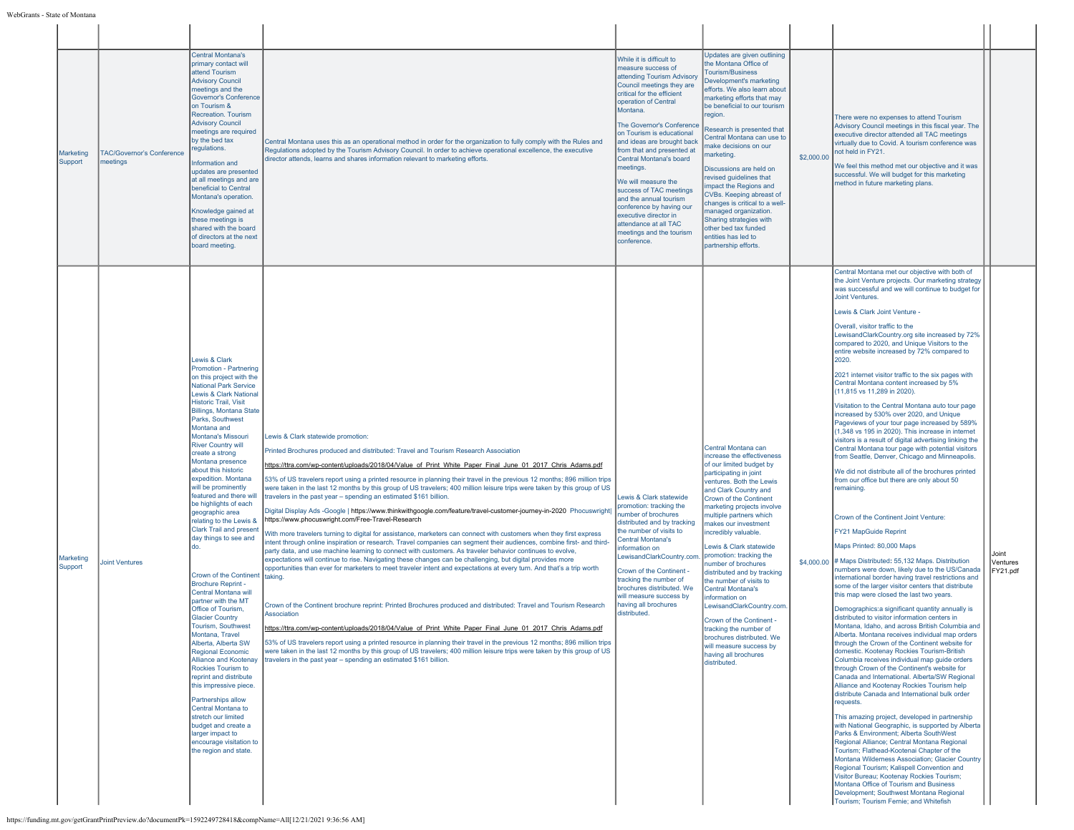| Marketing<br>Support | <b>FAC/Governor's Conference</b><br>neetings | <b>Central Montana's</b><br>primary contact will<br>attend Tourism<br><b>Advisory Council</b><br>neetings and the<br><b>Governor's Conference</b><br>on Tourism &<br>Recreation, Tourism<br><b>Advisory Council</b><br>meetings are required<br>by the bed tax<br>regulations.<br>Information and<br>updates are presented<br>at all meetings and are<br>beneficial to Central<br>Montana's operation.<br>Knowledge gained at<br>these meetings is<br>shared with the board<br>of directors at the next<br>board meeting.                                                                                                                                                                                                                                                                                                                                                                                                                                                                                                                                                                                           | Central Montana uses this as an operational method in order for the organization to fully comply with the Rules and<br>Regulations adopted by the Tourism Advisory Council. In order to achieve operational excellence, the executive<br>director attends, learns and shares information relevant to marketing efforts.                                                                                                                                                                                                                                                                                                                                                                                                                                                                                                                                                                                                                                                                                                                                                                                                                                                                                                                                                                                                                                                                                                                                                                                                                                                                                                                                                                                                                                                                                                                                                                                                                      | While it is difficult to<br>neasure success of<br>attending Tourism Advisory<br>Council meetings they are<br>critical for the efficient<br>operation of Central<br>Montana.<br>The Governor's Conference<br>on Tourism is educational<br>and ideas are brought back<br>from that and presented at<br>Central Montana's board<br>meetings.<br>We will measure the<br>success of TAC meetings<br>and the annual tourism<br>conference by having our<br>executive director in<br>attendance at all TAC<br>meetings and the tourism<br>conference. | Updates are given outlining<br>he Montana Office of<br><b>Tourism/Business</b><br>Development's marketing<br>efforts. We also learn about<br>marketing efforts that may<br>be beneficial to our tourism<br>region.<br>lesearch is presented that<br>entral Montana can use to<br>ake decisions on our<br>narketing.<br>Discussions are held on<br>revised guidelines that<br>mpact the Regions and<br>CVBs. Keeping abreast of<br>changes is critical to a well-<br>managed organization.<br>Sharing strategies with<br>other bed tax funded<br>entities has led to<br>partnership efforts.                                                                     | \$2,000.00 | There were no expenses to attend Tourism<br>Advisory Council meetings in this fiscal year. The<br>executive director attended all TAC meetings<br>virtually due to Covid. A tourism conference was<br>not held in FY21.<br>We feel this method met our objective and it was<br>successful. We will budget for this marketing<br>method in future marketing plans.                                                                                                                                                                                                                                                                                                                                                                                                                                                                                                                                                                                                                                                                                                                                                                                                                                                                                                                                                                                                                                                                                                                                                                                                                                                                                                                                                                                                                                                                                                                                                                                                                                                                                                                                                                                                                                                                                                                                                                                                                                                                                                     |
|----------------------|----------------------------------------------|---------------------------------------------------------------------------------------------------------------------------------------------------------------------------------------------------------------------------------------------------------------------------------------------------------------------------------------------------------------------------------------------------------------------------------------------------------------------------------------------------------------------------------------------------------------------------------------------------------------------------------------------------------------------------------------------------------------------------------------------------------------------------------------------------------------------------------------------------------------------------------------------------------------------------------------------------------------------------------------------------------------------------------------------------------------------------------------------------------------------|----------------------------------------------------------------------------------------------------------------------------------------------------------------------------------------------------------------------------------------------------------------------------------------------------------------------------------------------------------------------------------------------------------------------------------------------------------------------------------------------------------------------------------------------------------------------------------------------------------------------------------------------------------------------------------------------------------------------------------------------------------------------------------------------------------------------------------------------------------------------------------------------------------------------------------------------------------------------------------------------------------------------------------------------------------------------------------------------------------------------------------------------------------------------------------------------------------------------------------------------------------------------------------------------------------------------------------------------------------------------------------------------------------------------------------------------------------------------------------------------------------------------------------------------------------------------------------------------------------------------------------------------------------------------------------------------------------------------------------------------------------------------------------------------------------------------------------------------------------------------------------------------------------------------------------------------|------------------------------------------------------------------------------------------------------------------------------------------------------------------------------------------------------------------------------------------------------------------------------------------------------------------------------------------------------------------------------------------------------------------------------------------------------------------------------------------------------------------------------------------------|-----------------------------------------------------------------------------------------------------------------------------------------------------------------------------------------------------------------------------------------------------------------------------------------------------------------------------------------------------------------------------------------------------------------------------------------------------------------------------------------------------------------------------------------------------------------------------------------------------------------------------------------------------------------|------------|-----------------------------------------------------------------------------------------------------------------------------------------------------------------------------------------------------------------------------------------------------------------------------------------------------------------------------------------------------------------------------------------------------------------------------------------------------------------------------------------------------------------------------------------------------------------------------------------------------------------------------------------------------------------------------------------------------------------------------------------------------------------------------------------------------------------------------------------------------------------------------------------------------------------------------------------------------------------------------------------------------------------------------------------------------------------------------------------------------------------------------------------------------------------------------------------------------------------------------------------------------------------------------------------------------------------------------------------------------------------------------------------------------------------------------------------------------------------------------------------------------------------------------------------------------------------------------------------------------------------------------------------------------------------------------------------------------------------------------------------------------------------------------------------------------------------------------------------------------------------------------------------------------------------------------------------------------------------------------------------------------------------------------------------------------------------------------------------------------------------------------------------------------------------------------------------------------------------------------------------------------------------------------------------------------------------------------------------------------------------------------------------------------------------------------------------------------------------------|
| Marketing<br>Support | <b>Joint Ventures</b>                        | Lewis & Clark<br>Promotion - Partnering<br>on this project with the<br><b>National Park Service</b><br><b>Lewis &amp; Clark National</b><br><b>Historic Trail, Visit</b><br><b>Billings, Montana State</b><br>Parks, Southwest<br>Montana and<br>Montana's Missouri<br><b>River Country will</b><br>create a strong<br>Montana presence<br>about this historic<br>expedition. Montana<br>will be prominently<br>eatured and there will<br>be highlights of each<br>geographic area<br>relating to the Lewis &<br><b>Clark Trail and present</b><br>day things to see and<br>do.<br><b>Crown of the Continent</b><br><b>Brochure Reprint -</b><br>Central Montana will<br>partner with the MT<br>Office of Tourism,<br><b>Glacier Country</b><br>Tourism, Southwest<br>Montana, Trave<br>Alberta, Alberta SW<br><b>Regional Economic</b><br><b>Alliance and Kootenay</b><br>Rockies Tourism to<br>reprint and distribute<br>this impressive piece.<br>Partnerships allow<br>Central Montana to<br>stretch our limited<br>budget and create a<br>larger impact to<br>encourage visitation to<br>the region and state. | Lewis & Clark statewide promotion:<br>Printed Brochures produced and distributed: Travel and Tourism Research Association<br>https://ttra.com/wp-content/uploads/2018/04/Value of Print White Paper Final June 01 2017 Chris Adams.pdf<br>53% of US travelers report using a printed resource in planning their travel in the previous 12 months; 896 million trips<br>were taken in the last 12 months by this group of US travelers; 400 million leisure trips were taken by this group of US<br>ravelers in the past year - spending an estimated \$161 billion.<br>Digital Display Ads -Google   https://www.thinkwithgoogle.com/feature/travel-customer-journey-in-2020 Phocuswright <br>https://www.phocuswright.com/Free-Travel-Research<br>With more travelers turning to digital for assistance, marketers can connect with customers when they first express<br>ntent through online inspiration or research. Travel companies can segment their audiences, combine first- and third-<br>party data, and use machine learning to connect with customers. As traveler behavior continues to evolve.<br>expectations will continue to rise. Navigating these changes can be challenging, but digital provides more<br>opportunities than ever for marketers to meet traveler intent and expectations at every turn. And that's a trip worth<br>taking.<br>Crown of the Continent brochure reprint: Printed Brochures produced and distributed: Travel and Tourism Research<br>Association<br>https://ttra.com/wp-content/uploads/2018/04/Value of Print White Paper Final June 01 2017 Chris Adams.pdf<br>53% of US travelers report using a printed resource in planning their travel in the previous 12 months; 896 million trips<br>were taken in the last 12 months by this group of US travelers; 400 million leisure trips were taken by this group of US<br>travelers in the past year - spending an estimated \$161 billion. | Lewis & Clark statewide<br>promotion: tracking the<br>number of brochures<br>distributed and by tracking<br>the number of visits to<br><b>Central Montana's</b><br>information on<br>LewisandClarkCountry.com.<br>Crown of the Continent -<br>tracking the number of<br>brochures distributed. We<br>will measure success by<br>having all brochures<br>distributed.                                                                                                                                                                           | Central Montana can<br>increase the effectiveness<br>of our limited budget by<br>participating in joint<br>ventures. Both the Lewis<br>and Clark Country and<br>Crown of the Continent<br>marketing projects involve<br>multiple partners which<br>nakes our investment<br>incredibly valuable.<br>Lewis & Clark statewide<br>promotion: tracking the<br>number of brochures<br>distributed and by tracking<br>the number of visits to<br>Central Montana's<br>information on<br>LewisandClarkCountry.com<br>Crown of the Continent -<br>tracking the number of<br>brochures distributed. We<br>will measure success by<br>having all brochures<br>distributed. |            | Central Montana met our objective with both of<br>the Joint Venture projects. Our marketing strategy<br>was successful and we will continue to budget for<br>Joint Ventures.<br>Lewis & Clark Joint Venture -<br>Overall, visitor traffic to the<br>LewisandClarkCountry.org site increased by 72%<br>compared to 2020, and Unique Visitors to the<br>entire website increased by 72% compared to<br>2020.<br>2021 internet visitor traffic to the six pages with<br>Central Montana content increased by 5%<br>(11,815 vs 11,289 in 2020).<br>Visitation to the Central Montana auto tour page<br>increased by 530% over 2020, and Unique<br>Pageviews of your tour page increased by 589%<br>(1,348 vs 195 in 2020). This increase in internet<br>visitors is a result of digital advertising linking the<br>Central Montana tour page with potential visitors<br>from Seattle, Denver, Chicago and Minneapolis.<br>We did not distribute all of the brochures printed<br>from our office but there are only about 50<br>remaining.<br>Crown of the Continent Joint Venture:<br>FY21 MapGuide Reprint<br>Maps Printed: 80,000 Maps<br>\$4,000.00 # Maps Distributed: 55,132 Maps. Distribution<br>numbers were down, likely due to the US/Canada<br>international border having travel restrictions and<br>some of the larger visitor centers that distribute<br>this map were closed the last two vears.<br>Demographics: a significant quantity annually is<br>distributed to visitor information centers in<br>Montana, Idaho, and across British Columbia and<br>Alberta. Montana receives individual map orders<br>through the Crown of the Continent website for<br>domestic. Kootenay Rockies Tourism-British<br>Columbia receives individual map quide orders<br>through Crown of the Continent's website for<br>Canada and International. Alberta/SW Regional<br>Alliance and Kootenay Rockies Tourism help<br>distribute Canada and International bulk order<br>requests.<br>This amazing project, developed in partnership<br>with National Geographic, is supported by Alberta<br>Parks & Environment: Alberta SouthWest<br>Regional Alliance; Central Montana Regional<br>Tourism; Flathead-Kootenai Chapter of the<br>Montana Wilderness Association; Glacier Country<br>Regional Tourism; Kalispell Convention and<br>Visitor Bureau: Kootenav Rockies Tourism:<br>Montana Office of Tourism and Business<br>Development; Southwest Montana Regional |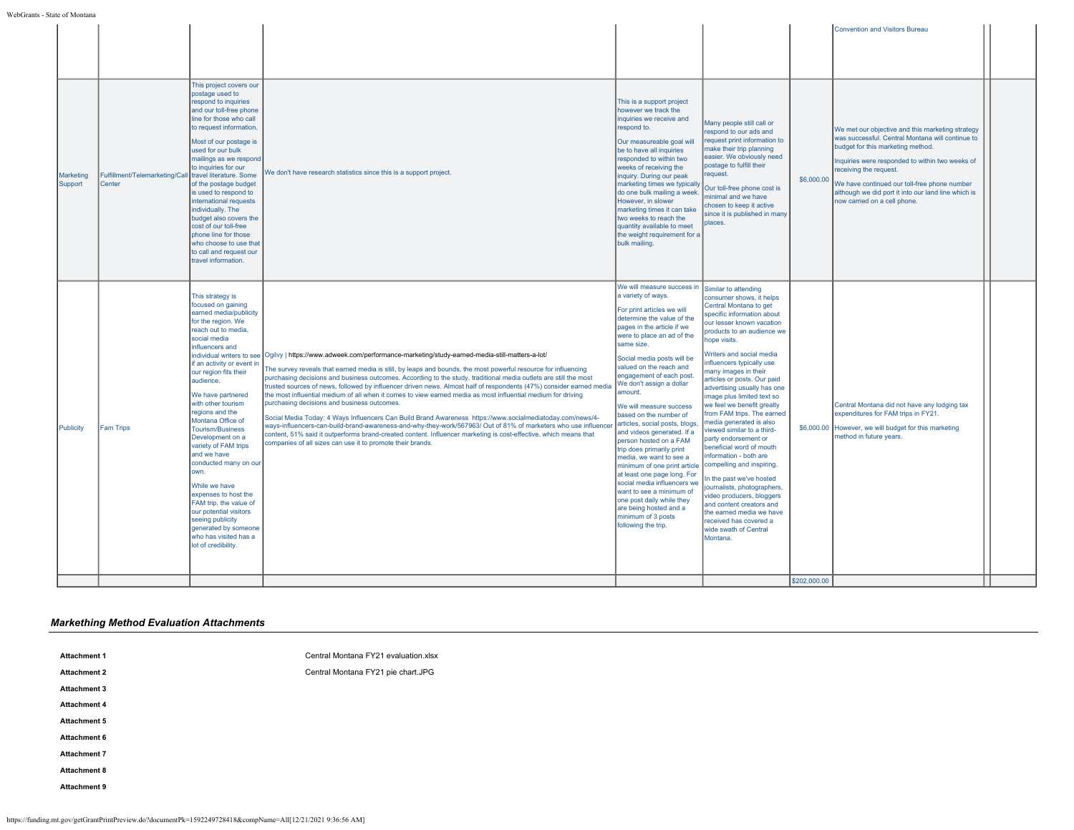|                      |                                          |                                                                                                                                                                                                                                                                                                                                                                                                                                                                                                                                                                                                                  |                                                                                                                                                                                                                                                                                                                                                                                                                                                                                                                                                                                                                                                                                                                                                                                                                                                                                                                                                                                                                                                                       |                                                                                                                                                                                                                                                                                                                                                                                                                                                                                                                                                                                                                                                                                                                                                         |                                                                                                                                                                                                                                                                                                                                                                                                                                                                                                                                                                                                                                                                                                                                                                                                               |              | Convention and Visitors Bureau                                                                                                                                                                                                                                                                                                                                |  |
|----------------------|------------------------------------------|------------------------------------------------------------------------------------------------------------------------------------------------------------------------------------------------------------------------------------------------------------------------------------------------------------------------------------------------------------------------------------------------------------------------------------------------------------------------------------------------------------------------------------------------------------------------------------------------------------------|-----------------------------------------------------------------------------------------------------------------------------------------------------------------------------------------------------------------------------------------------------------------------------------------------------------------------------------------------------------------------------------------------------------------------------------------------------------------------------------------------------------------------------------------------------------------------------------------------------------------------------------------------------------------------------------------------------------------------------------------------------------------------------------------------------------------------------------------------------------------------------------------------------------------------------------------------------------------------------------------------------------------------------------------------------------------------|---------------------------------------------------------------------------------------------------------------------------------------------------------------------------------------------------------------------------------------------------------------------------------------------------------------------------------------------------------------------------------------------------------------------------------------------------------------------------------------------------------------------------------------------------------------------------------------------------------------------------------------------------------------------------------------------------------------------------------------------------------|---------------------------------------------------------------------------------------------------------------------------------------------------------------------------------------------------------------------------------------------------------------------------------------------------------------------------------------------------------------------------------------------------------------------------------------------------------------------------------------------------------------------------------------------------------------------------------------------------------------------------------------------------------------------------------------------------------------------------------------------------------------------------------------------------------------|--------------|---------------------------------------------------------------------------------------------------------------------------------------------------------------------------------------------------------------------------------------------------------------------------------------------------------------------------------------------------------------|--|
| Marketing<br>Support | Fulfillment/Telemarketing/Call<br>Center | This project covers our<br>postage used to<br>respond to inquiries<br>and our toll-free phone<br>line for those who call<br>to request information<br>Most of our postage is<br>used for our bulk<br>mailings as we respond<br>to inquiries for our<br>travel literature. Some<br>of the postage budget<br>is used to respond to<br>international requests<br>individually. The<br>budget also covers the<br>cost of our toll-free<br>phone line for those<br>who choose to use that<br>to call and request our<br>travel information.                                                                           | We don't have research statistics since this is a support project.                                                                                                                                                                                                                                                                                                                                                                                                                                                                                                                                                                                                                                                                                                                                                                                                                                                                                                                                                                                                    | This is a support project<br>however we track the<br>inquiries we receive and<br>respond to.<br>Our measureable goal will<br>be to have all inquiries<br>responded to within two<br>weeks of receiving the<br>inquiry. During our peak<br>marketing times we typically<br>do one bulk mailing a week.<br>However, in slower<br>marketing times it can take<br>two weeks to reach the<br>quantity available to meet<br>the weight requirement for a<br>bulk mailing.                                                                                                                                                                                                                                                                                     | Many people still call or<br>respond to our ads and<br>request print information to<br>nake their trip planning<br>easier. We obviously need<br>postage to fulfill their<br>equest.<br>Our toll-free phone cost is<br>ninimal and we have<br>chosen to keep it active<br>since it is published in many<br>places.                                                                                                                                                                                                                                                                                                                                                                                                                                                                                             | \$6,000.00   | We met our obiective and this marketing strategy<br>was successful. Central Montana will continue to<br>budget for this marketing method.<br>Inquiries were responded to within two weeks of<br>receiving the request.<br>We have continued our toll-free phone number<br>although we did port it into our land line which is<br>now carried on a cell phone. |  |
| Publicity            | <b>Fam Trips</b>                         | This strategy is<br>focused on gaining<br>earned media/publicity<br>for the region, We<br>reach out to media,<br>social media<br>influencers and<br>if an activity or event in<br>our region fits their<br>audience.<br>We have partnered<br>with other tourism<br>regions and the<br>Montana Office of<br>Tourism/Business<br>Development on a<br>variety of FAM trips<br>and we have<br>conducted many on our<br>own.<br>While we have<br>expenses to host the<br>FAM trip, the value of<br>our potential visitors<br>seeing publicity<br>generated by someone<br>who has visited has a<br>lot of credibility. | individual writers to see Ogilvy   https://www.adweek.com/performance-marketing/study-earned-media-still-matters-a-lot/<br>The survey reveals that earned media is still, by leaps and bounds, the most powerful resource for influencing<br>purchasing decisions and business outcomes. According to the study, traditional media outlets are still the most<br>trusted sources of news, followed by influencer driven news. Almost half of respondents (47%) consider earned media<br>the most influential medium of all when it comes to view earned media as most influential medium for driving<br>purchasing decisions and business outcomes.<br>Social Media Today: 4 Ways Influencers Can Build Brand Awareness https://www.socialmediatoday.com/news/4-<br>ways-influencers-can-build-brand-awareness-and-why-they-work/567963/ Out of 81% of marketers who use influencer<br>content, 51% said it outperforms brand-created content. Influencer marketing is cost-effective, which means that<br>companies of all sizes can use it to promote their brands. | We will measure success in<br>a variety of ways.<br>For print articles we will<br>determine the value of the<br>pages in the article if we<br>were to place an ad of the<br>same size.<br>Social media posts will be<br>valued on the reach and<br>engagement of each post.<br>We don't assign a dollar<br>amount.<br>We will measure success<br>based on the number of<br>articles, social posts, blogs,<br>and videos generated. If a<br>person hosted on a FAM<br>trip does primarily print<br>media, we want to see a<br>minimum of one print article<br>at least one page long. For<br>social media influencers we<br>want to see a minimum of<br>one post daily while they<br>are being hosted and a<br>minimum of 3 posts<br>following the trip. | Similar to attending<br>consumer shows, it helps<br>Central Montana to get<br>specific information about<br>our lesser known vacation<br>products to an audience we<br>hope visits.<br>Writers and social media<br>nfluencers typically use<br>many images in their<br>articles or posts. Our paid<br>advertising usually has one<br>mage plus limited text so<br>we feel we benefit greatly<br>from FAM trips. The earned<br>nedia generated is also<br>riewed similar to a third-<br>party endorsement or<br>beneficial word of mouth<br>information - both are<br>compelling and inspiring.<br>In the past we've hosted<br>journalists, photographers,<br>video producers, bloggers<br>and content creators and<br>the earned media we have<br>received has covered a<br>wide swath of Central<br>Montana. | \$202,000.00 | Central Montana did not have any lodging tax<br>expenditures for FAM trips in FY21.<br>\$6,000.00 However, we will budget for this marketing<br>method in future years.                                                                                                                                                                                       |  |
|                      |                                          |                                                                                                                                                                                                                                                                                                                                                                                                                                                                                                                                                                                                                  |                                                                                                                                                                                                                                                                                                                                                                                                                                                                                                                                                                                                                                                                                                                                                                                                                                                                                                                                                                                                                                                                       |                                                                                                                                                                                                                                                                                                                                                                                                                                                                                                                                                                                                                                                                                                                                                         |                                                                                                                                                                                                                                                                                                                                                                                                                                                                                                                                                                                                                                                                                                                                                                                                               |              |                                                                                                                                                                                                                                                                                                                                                               |  |

# *Markething Method Evaluation Attachments*

| <b>Attachment 1</b> | Central Montana FY21 evaluation xlsx |
|---------------------|--------------------------------------|
| <b>Attachment 2</b> | Central Montana FY21 pie chart.JPG   |
| <b>Attachment 3</b> |                                      |
| <b>Attachment 4</b> |                                      |
| <b>Attachment 5</b> |                                      |
| <b>Attachment 6</b> |                                      |
| Attachment 7        |                                      |
| Attachment 8        |                                      |
| <b>Attachment 9</b> |                                      |